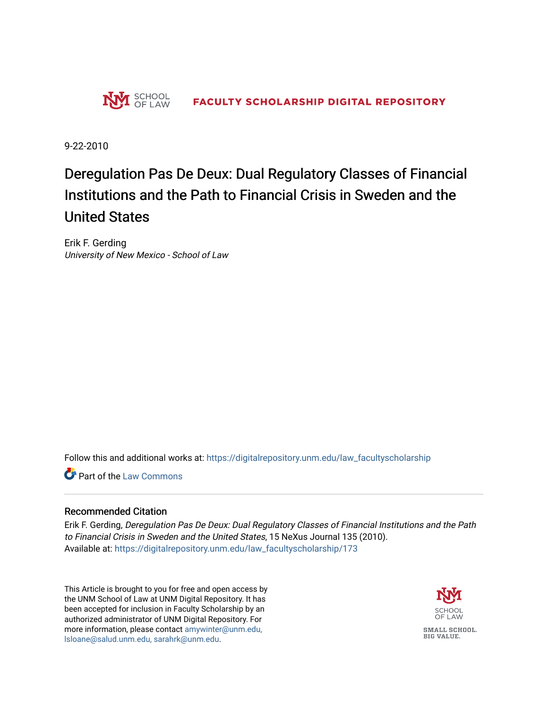

9-22-2010

# Deregulation Pas De Deux: Dual Regulatory Classes of Financial Institutions and the Path to Financial Crisis in Sweden and the United States

Erik F. Gerding University of New Mexico - School of Law

Follow this and additional works at: [https://digitalrepository.unm.edu/law\\_facultyscholarship](https://digitalrepository.unm.edu/law_facultyscholarship?utm_source=digitalrepository.unm.edu%2Flaw_facultyscholarship%2F173&utm_medium=PDF&utm_campaign=PDFCoverPages) 

**Part of the [Law Commons](http://network.bepress.com/hgg/discipline/578?utm_source=digitalrepository.unm.edu%2Flaw_facultyscholarship%2F173&utm_medium=PDF&utm_campaign=PDFCoverPages)** 

#### Recommended Citation

Erik F. Gerding, Deregulation Pas De Deux: Dual Regulatory Classes of Financial Institutions and the Path to Financial Crisis in Sweden and the United States, 15 NeXus Journal 135 (2010). Available at: [https://digitalrepository.unm.edu/law\\_facultyscholarship/173](https://digitalrepository.unm.edu/law_facultyscholarship/173?utm_source=digitalrepository.unm.edu%2Flaw_facultyscholarship%2F173&utm_medium=PDF&utm_campaign=PDFCoverPages) 

This Article is brought to you for free and open access by the UNM School of Law at UNM Digital Repository. It has been accepted for inclusion in Faculty Scholarship by an authorized administrator of UNM Digital Repository. For more information, please contact [amywinter@unm.edu,](mailto:amywinter@unm.edu,%20lsloane@salud.unm.edu,%20sarahrk@unm.edu)  [lsloane@salud.unm.edu, sarahrk@unm.edu.](mailto:amywinter@unm.edu,%20lsloane@salud.unm.edu,%20sarahrk@unm.edu)

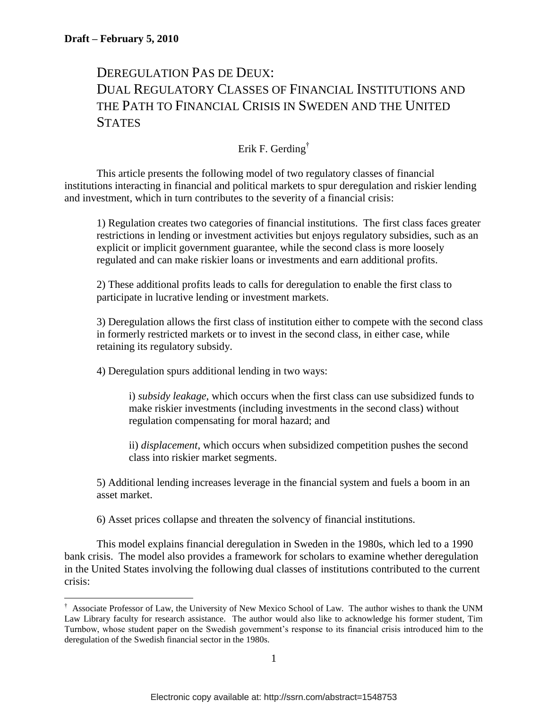$\overline{a}$ 

# DEREGULATION PAS DE DEUX: DUAL REGULATORY CLASSES OF FINANCIAL INSTITUTIONS AND THE PATH TO FINANCIAL CRISIS IN SWEDEN AND THE UNITED **STATES**

# Erik F. Gerding†

This article presents the following model of two regulatory classes of financial institutions interacting in financial and political markets to spur deregulation and riskier lending and investment, which in turn contributes to the severity of a financial crisis:

1) Regulation creates two categories of financial institutions. The first class faces greater restrictions in lending or investment activities but enjoys regulatory subsidies, such as an explicit or implicit government guarantee, while the second class is more loosely regulated and can make riskier loans or investments and earn additional profits.

2) These additional profits leads to calls for deregulation to enable the first class to participate in lucrative lending or investment markets.

3) Deregulation allows the first class of institution either to compete with the second class in formerly restricted markets or to invest in the second class, in either case, while retaining its regulatory subsidy.

4) Deregulation spurs additional lending in two ways:

i) *subsidy leakage*, which occurs when the first class can use subsidized funds to make riskier investments (including investments in the second class) without regulation compensating for moral hazard; and

ii) *displacement*, which occurs when subsidized competition pushes the second class into riskier market segments.

5) Additional lending increases leverage in the financial system and fuels a boom in an asset market.

6) Asset prices collapse and threaten the solvency of financial institutions.

This model explains financial deregulation in Sweden in the 1980s, which led to a 1990 bank crisis. The model also provides a framework for scholars to examine whether deregulation in the United States involving the following dual classes of institutions contributed to the current crisis:

<sup>†</sup> Associate Professor of Law, the University of New Mexico School of Law. The author wishes to thank the UNM Law Library faculty for research assistance. The author would also like to acknowledge his former student, Tim Turnbow, whose student paper on the Swedish government"s response to its financial crisis introduced him to the deregulation of the Swedish financial sector in the 1980s.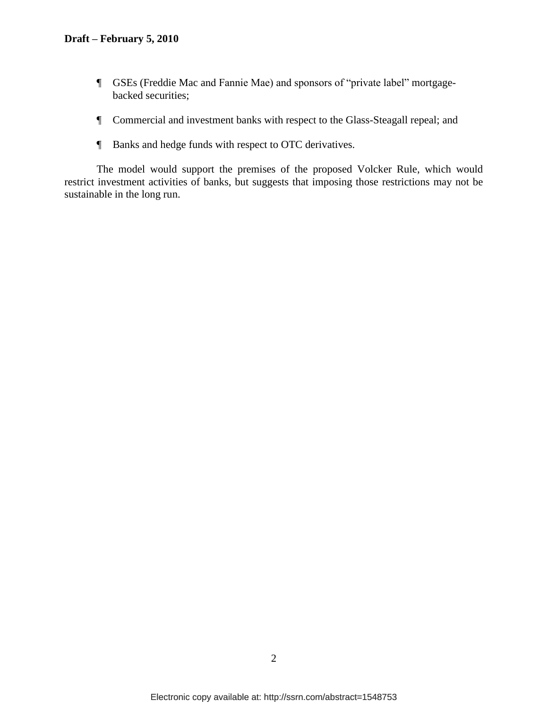- ¶ GSEs (Freddie Mac and Fannie Mae) and sponsors of "private label" mortgagebacked securities;
- ¶ Commercial and investment banks with respect to the Glass-Steagall repeal; and
- ¶ Banks and hedge funds with respect to OTC derivatives.

The model would support the premises of the proposed Volcker Rule, which would restrict investment activities of banks, but suggests that imposing those restrictions may not be sustainable in the long run.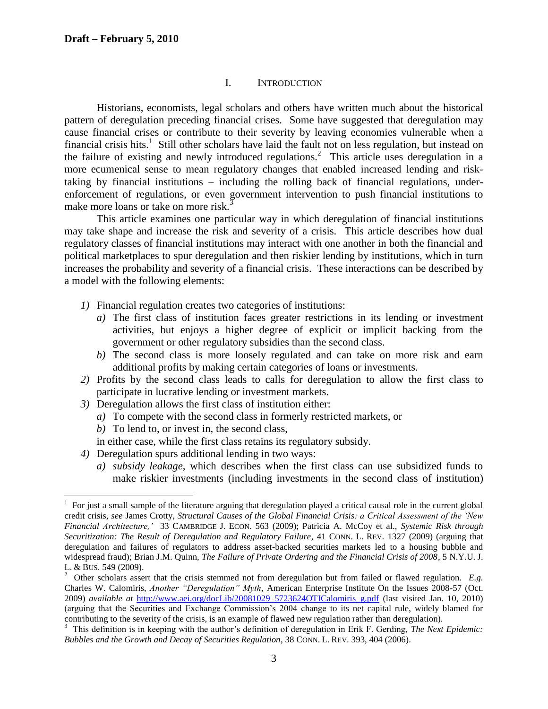#### <span id="page-3-0"></span>I. INTRODUCTION

Historians, economists, legal scholars and others have written much about the historical pattern of deregulation preceding financial crises. Some have suggested that deregulation may cause financial crises or contribute to their severity by leaving economies vulnerable when a financial crisis hits.<sup>1</sup> Still other scholars have laid the fault not on less regulation, but instead on the failure of existing and newly introduced regulations. 2 This article uses deregulation in a more ecumenical sense to mean regulatory changes that enabled increased lending and risktaking by financial institutions – including the rolling back of financial regulations, underenforcement of regulations, or even government intervention to push financial institutions to make more loans or take on more risk.<sup>3</sup>

This article examines one particular way in which deregulation of financial institutions may take shape and increase the risk and severity of a crisis. This article describes how dual regulatory classes of financial institutions may interact with one another in both the financial and political marketplaces to spur deregulation and then riskier lending by institutions, which in turn increases the probability and severity of a financial crisis. These interactions can be described by a model with the following elements:

- *1)* Financial regulation creates two categories of institutions:
	- *a)* The first class of institution faces greater restrictions in its lending or investment activities, but enjoys a higher degree of explicit or implicit backing from the government or other regulatory subsidies than the second class.
	- *b)* The second class is more loosely regulated and can take on more risk and earn additional profits by making certain categories of loans or investments.
- *2)* Profits by the second class leads to calls for deregulation to allow the first class to participate in lucrative lending or investment markets.
- *3)* Deregulation allows the first class of institution either:
	- *a)* To compete with the second class in formerly restricted markets, or
	- *b)* To lend to, or invest in, the second class,

- in either case, while the first class retains its regulatory subsidy.
- *4)* Deregulation spurs additional lending in two ways:
	- *a) subsidy leakage*, which describes when the first class can use subsidized funds to make riskier investments (including investments in the second class of institution)

 $1$  For just a small sample of the literature arguing that deregulation played a critical causal role in the current global credit crisis, *see* James Crotty, *Structural Causes of the Global Financial Crisis: a Critical Assessment of the "New Financial Architecture,"* 33 CAMBRIDGE J. ECON. 563 (2009); Patricia A. McCoy et al., *Systemic Risk through Securitization: The Result of Deregulation and Regulatory Failure*, 41 CONN. L. REV. 1327 (2009) (arguing that deregulation and failures of regulators to address asset-backed securities markets led to a housing bubble and widespread fraud); Brian J.M. Quinn, *The Failure of Private Ordering and the Financial Crisis of 2008*, 5 N.Y.U. J. L. & BUS. 549 (2009).

<sup>&</sup>lt;sup>2</sup> Other scholars assert that the crisis stemmed not from deregulation but from failed or flawed regulation. *E.g.* Charles W. Calomiris, *Another "Deregulation" Myth*, American Enterprise Institute On the Issues 2008-57 (Oct. 2009) *available at* [http://www.aei.org/docLib/20081029\\_5723624OTICalomiris\\_g.pdf](http://www.aei.org/docLib/20081029_5723624OTICalomiris_g.pdf) (last visited Jan. 10, 2010) (arguing that the Securities and Exchange Commission"s 2004 change to its net capital rule, widely blamed for contributing to the severity of the crisis, is an example of flawed new regulation rather than deregulation).<br><sup>3</sup> This definition is in keeping with the author's definition of deregulation in Erik F. Gerding, *The Next Ep* 

*Bubbles and the Growth and Decay of Securities Regulation*, 38 CONN. L. REV. 393, 404 (2006).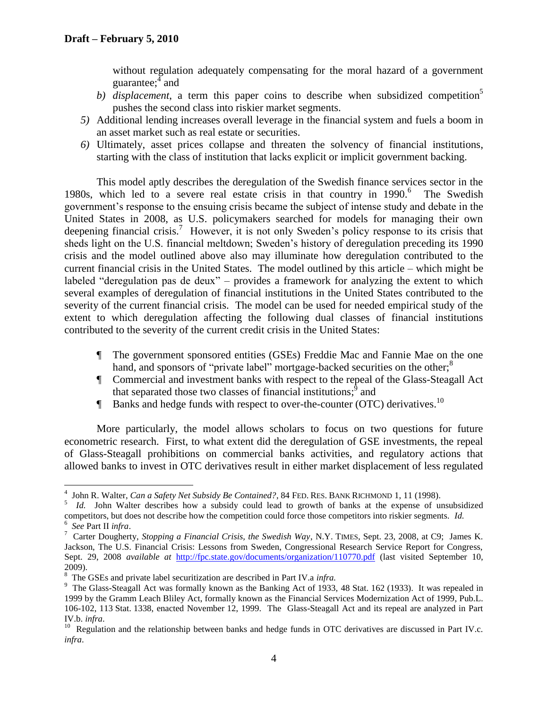<span id="page-4-0"></span>without regulation adequately compensating for the moral hazard of a government guarantee;<sup>4</sup> and

- b) *displacement*, a term this paper coins to describe when subsidized competition<sup>5</sup> pushes the second class into riskier market segments.
- *5)* Additional lending increases overall leverage in the financial system and fuels a boom in an asset market such as real estate or securities.
- *6)* Ultimately, asset prices collapse and threaten the solvency of financial institutions, starting with the class of institution that lacks explicit or implicit government backing.

<span id="page-4-1"></span>This model aptly describes the deregulation of the Swedish finance services sector in the 1980s, which led to a severe real estate crisis in that country in  $1990$ .<sup>6</sup> The Swedish government"s response to the ensuing crisis became the subject of intense study and debate in the United States in 2008, as U.S. policymakers searched for models for managing their own deepening financial crisis.<sup>7</sup> However, it is not only Sweden's policy response to its crisis that sheds light on the U.S. financial meltdown; Sweden's history of deregulation preceding its 1990 crisis and the model outlined above also may illuminate how deregulation contributed to the current financial crisis in the United States. The model outlined by this article – which might be labeled "deregulation pas de deux" – provides a framework for analyzing the extent to which several examples of deregulation of financial institutions in the United States contributed to the severity of the current financial crisis. The model can be used for needed empirical study of the extent to which deregulation affecting the following dual classes of financial institutions contributed to the severity of the current credit crisis in the United States:

- ¶ The government sponsored entities (GSEs) Freddie Mac and Fannie Mae on the one hand, and sponsors of "private label" mortgage-backed securities on the other;<sup>8</sup>
- ¶ Commercial and investment banks with respect to the repeal of the Glass-Steagall Act that separated those two classes of financial institutions;  $\hat{9}$  and
- **F** Banks and hedge funds with respect to over-the-counter (OTC) derivatives.<sup>10</sup>

More particularly, the model allows scholars to focus on two questions for future econometric research. First, to what extent did the deregulation of GSE investments, the repeal of Glass-Steagall prohibitions on commercial banks activities, and regulatory actions that allowed banks to invest in OTC derivatives result in either market displacement of less regulated

 4 John R. Walter, *Can a Safety Net Subsidy Be Contained?*, 84 FED. RES. BANK RICHMOND 1, 11 (1998).

<sup>&</sup>lt;sup>5</sup> *Id.* John Walter describes how a subsidy could lead to growth of banks at the expense of unsubsidized competitors, but does not describe how the competition could force those competitors into riskier segments. *Id.* 6 *See* Part II *infra*.

<sup>7</sup> Carter Dougherty, *Stopping a Financial Crisis, the Swedish Way*, N.Y. TIMES, Sept. 23, 2008, at C9; James K. Jackson, The U.S. Financial Crisis: Lessons from Sweden, Congressional Research Service Report for Congress, Sept. 29, 2008 *available at* <http://fpc.state.gov/documents/organization/110770.pdf> (last visited September 10, 2009).

<sup>8</sup> The GSEs and private label securitization are described in Part IV.a *infra.*

<sup>&</sup>lt;sup>9</sup> The Glass-Steagall Act was formally known as the Banking Act of 1933, 48 Stat. 162 (1933). It was repealed in 1999 by the Gramm Leach Bliley Act, formally known as the Financial Services Modernization Act of 1999, [Pub.L.](http://www.gpo.gov/fdsys/pkg/PLAW-106publ102/content-detail.html)  [106-102,](http://www.gpo.gov/fdsys/pkg/PLAW-106publ102/content-detail.html) 113 [Stat.](http://en.wikipedia.org/wiki/United_States_Statutes_at_Large) 1338, enacted November 12, 1999. The Glass-Steagall Act and its repeal are analyzed in Part IV.b. *infra*.

 $10$  Regulation and the relationship between banks and hedge funds in OTC derivatives are discussed in Part IV.c. *infra*.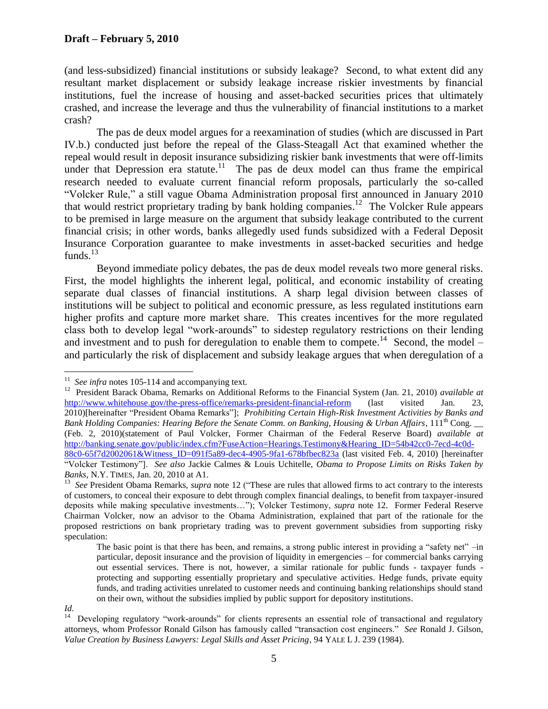(and less-subsidized) financial institutions or subsidy leakage? Second, to what extent did any resultant market displacement or subsidy leakage increase riskier investments by financial institutions, fuel the increase of housing and asset-backed securities prices that ultimately crashed, and increase the leverage and thus the vulnerability of financial institutions to a market crash?

The pas de deux model argues for a reexamination of studies (which are discussed in Part IV.b.) conducted just before the repeal of the Glass-Steagall Act that examined whether the repeal would result in deposit insurance subsidizing riskier bank investments that were off-limits under that Depression era statute.<sup>11</sup> The pas de deux model can thus frame the empirical research needed to evaluate current financial reform proposals, particularly the so-called "Volcker Rule," a still vague Obama Administration proposal first announced in January 2010 that would restrict proprietary trading by bank holding companies. 12 The Volcker Rule appears to be premised in large measure on the argument that subsidy leakage contributed to the current financial crisis; in other words, banks allegedly used funds subsidized with a Federal Deposit Insurance Corporation guarantee to make investments in asset-backed securities and hedge funds. $^{13}$ 

 Beyond immediate policy debates, the pas de deux model reveals two more general risks. First, the model highlights the inherent legal, political, and economic instability of creating separate dual classes of financial institutions. A sharp legal division between classes of institutions will be subject to political and economic pressure, as less regulated institutions earn higher profits and capture more market share. This creates incentives for the more regulated class both to develop legal "work-arounds" to sidestep regulatory restrictions on their lending and investment and to push for deregulation to enable them to compete.<sup>14</sup> Second, the model – and particularly the risk of displacement and subsidy leakage argues that when deregulation of a

 11 *See infra* notes [105-](#page-18-0)[114](#page-19-0) and accompanying text.

<sup>&</sup>lt;sup>12</sup> President Barack Obama, Remarks on Additional Reforms to the Financial System (Jan. 21, 2010) *available at* <http://www.whitehouse.gov/the-press-office/remarks-president-financial-reform> (last visited Jan. 23, 2010)[hereinafter "President Obama Remarks"]; *Prohibiting Certain High-Risk Investment Activities by Banks and Bank Holding Companies: Hearing Before the Senate Comm. on Banking, Housing & Urban Affairs*, 111th Cong. \_\_ (Feb. 2, 2010)(statement of Paul Volcker, Former Chairman of the Federal Reserve Board) *available at* [http://banking.senate.gov/public/index.cfm?FuseAction=Hearings.Testimony&Hearing\\_ID=54b42cc0-7ecd-4c0d-](http://banking.senate.gov/public/index.cfm?FuseAction=Hearings.Testimony&Hearing_ID=54b42cc0-7ecd-4c0d-88c0-65f7d2002061&Witness_ID=091f5a89-dec4-4905-9fa1-678bfbec823a)[88c0-65f7d2002061&Witness\\_ID=091f5a89-dec4-4905-9fa1-678bfbec823a](http://banking.senate.gov/public/index.cfm?FuseAction=Hearings.Testimony&Hearing_ID=54b42cc0-7ecd-4c0d-88c0-65f7d2002061&Witness_ID=091f5a89-dec4-4905-9fa1-678bfbec823a) (last visited Feb. 4, 2010) [hereinafter

<sup>&</sup>quot;Volcker Testimony"]. *See also* Jackie Calmes & Louis Uchitelle, *Obama to Propose Limits on Risks Taken by Banks*, N.Y. TIMES, Jan. 20, 2010 at A1.

<sup>&</sup>lt;sup>13</sup> See President Obama Remarks, *supra* note [12](#page-4-0) ("These are rules that allowed firms to act contrary to the interests of customers, to conceal their exposure to debt through complex financial dealings, to benefit from taxpayer-insured deposits while making speculative investments…"); Volcker Testimony, *supra* note [12.](#page-4-0) Former Federal Reserve Chairman Volcker, now an advisor to the Obama Administration, explained that part of the rationale for the proposed restrictions on bank proprietary trading was to prevent government subsidies from supporting risky speculation:

The basic point is that there has been, and remains, a strong public interest in providing a "safety net" –in particular, deposit insurance and the provision of liquidity in emergencies – for commercial banks carrying out essential services. There is not, however, a similar rationale for public funds - taxpayer funds protecting and supporting essentially proprietary and speculative activities. Hedge funds, private equity funds, and trading activities unrelated to customer needs and continuing banking relationships should stand on their own, without the subsidies implied by public support for depository institutions.

*Id.*

<sup>&</sup>lt;sup>14</sup> Developing regulatory "work-arounds" for clients represents an essential role of transactional and regulatory attorneys, whom Professor Ronald Gilson has famously called "transaction cost engineers." *See* Ronald J. Gilson, *Value Creation by Business Lawyers: Legal Skills and Asset Pricing*, 94 YALE L J. 239 (1984).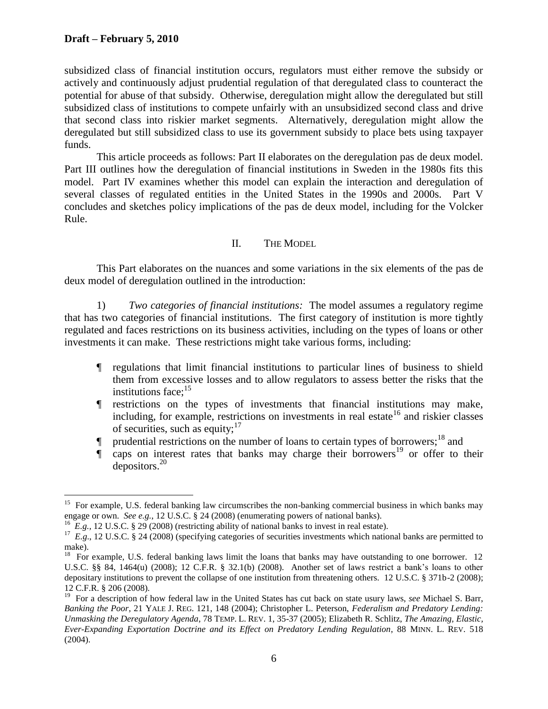$\overline{a}$ 

subsidized class of financial institution occurs, regulators must either remove the subsidy or actively and continuously adjust prudential regulation of that deregulated class to counteract the potential for abuse of that subsidy. Otherwise, deregulation might allow the deregulated but still subsidized class of institutions to compete unfairly with an unsubsidized second class and drive that second class into riskier market segments. Alternatively, deregulation might allow the deregulated but still subsidized class to use its government subsidy to place bets using taxpayer funds.

This article proceeds as follows: Part II elaborates on the deregulation pas de deux model. Part III outlines how the deregulation of financial institutions in Sweden in the 1980s fits this model. Part IV examines whether this model can explain the interaction and deregulation of several classes of regulated entities in the United States in the 1990s and 2000s. Part V concludes and sketches policy implications of the pas de deux model, including for the Volcker Rule.

### <span id="page-6-0"></span>II. THE MODEL

This Part elaborates on the nuances and some variations in the six elements of the pas de deux model of deregulation outlined in the introduction:

1) *Two categories of financial institutions:* The model assumes a regulatory regime that has two categories of financial institutions. The first category of institution is more tightly regulated and faces restrictions on its business activities, including on the types of loans or other investments it can make. These restrictions might take various forms, including:

- ¶ regulations that limit financial institutions to particular lines of business to shield them from excessive losses and to allow regulators to assess better the risks that the institutions face; $15$
- ¶ restrictions on the types of investments that financial institutions may make, including, for example, restrictions on investments in real estate<sup>16</sup> and riskier classes of securities, such as equity;  $17$
- $\blacksquare$  prudential restrictions on the number of loans to certain types of borrowers;<sup>18</sup> and
- $\int$  caps on interest rates that banks may charge their borrowers<sup>19</sup> or offer to their depositors. $20$

<sup>&</sup>lt;sup>15</sup> For example, U.S. federal banking law circumscribes the non-banking commercial business in which banks may engage or own. *See e.g.*, 12 U.S.C. § 24 (2008) (enumerating powers of national banks).

<sup>&</sup>lt;sup>16</sup> E.g., 12 U.S.C. § 29 (2008) (restricting ability of national banks to invest in real estate).<br><sup>17</sup> E.g., 12 U.S.C. § 24 (2008) (specifying categories of securities investments which national banks are permitted to make).

<sup>&</sup>lt;sup>18</sup> For example, U.S. federal banking laws limit the loans that banks may have outstanding to one borrower. 12 U.S.C. §§ 84, 1464(u) (2008); 12 C.F.R. § 32.1(b) (2008). Another set of laws restrict a bank"s loans to other depositary institutions to prevent the collapse of one institution from threatening others. 12 U.S.C. § 371b-2 (2008); 12 C.F.R. § 206 (2008).

<sup>&</sup>lt;sup>19</sup> For a description of how federal law in the United States has cut back on state usury laws, *see* Michael S. Barr, *Banking the Poor*, 21 YALE J. REG. 121, 148 (2004); Christopher L. Peterson, *Federalism and Predatory Lending: Unmasking the Deregulatory Agenda*, 78 TEMP. L. REV. 1, 35-37 (2005); Elizabeth R. Schlitz, *The Amazing, Elastic, Ever-Expanding Exportation Doctrine and its Effect on Predatory Lending Regulation*, 88 MINN. L. REV. 518 (2004).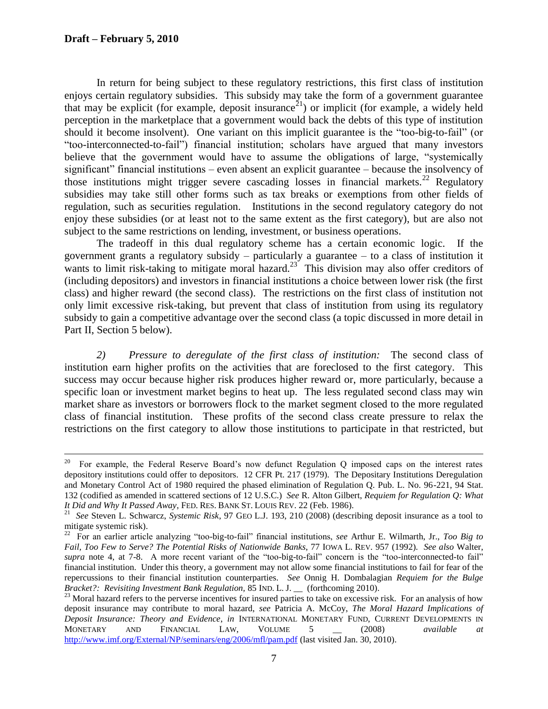In return for being subject to these regulatory restrictions, this first class of institution enjoys certain regulatory subsidies. This subsidy may take the form of a government guarantee that may be explicit (for example, deposit insurance<sup>21</sup>) or implicit (for example, a widely held perception in the marketplace that a government would back the debts of this type of institution should it become insolvent). One variant on this implicit guarantee is the "too-big-to-fail" (or "too-interconnected-to-fail") financial institution; scholars have argued that many investors believe that the government would have to assume the obligations of large, "systemically significant" financial institutions – even absent an explicit guarantee – because the insolvency of those institutions might trigger severe cascading losses in financial markets.<sup>22</sup> Regulatory subsidies may take still other forms such as tax breaks or exemptions from other fields of regulation, such as securities regulation. Institutions in the second regulatory category do not enjoy these subsidies (or at least not to the same extent as the first category), but are also not subject to the same restrictions on lending, investment, or business operations.

The tradeoff in this dual regulatory scheme has a certain economic logic. If the government grants a regulatory subsidy – particularly a guarantee – to a class of institution it wants to limit risk-taking to mitigate moral hazard.<sup>23</sup> This division may also offer creditors of (including depositors) and investors in financial institutions a choice between lower risk (the first class) and higher reward (the second class). The restrictions on the first class of institution not only limit excessive risk-taking, but prevent that class of institution from using its regulatory subsidy to gain a competitive advantage over the second class (a topic discussed in more detail in Part II, Section 5 below).

*2) Pressure to deregulate of the first class of institution:* The second class of institution earn higher profits on the activities that are foreclosed to the first category. This success may occur because higher risk produces higher reward or, more particularly, because a specific loan or investment market begins to heat up. The less regulated second class may win market share as investors or borrowers flock to the market segment closed to the more regulated class of financial institution.These profits of the second class create pressure to relax the restrictions on the first category to allow those institutions to participate in that restricted, but

<sup>&</sup>lt;sup>20</sup> For example, the Federal Reserve Board"s now defunct Regulation Q imposed caps on the interest rates depository institutions could offer to depositors. 12 CFR Pt. 217 (1979). The Depositary Institutions Deregulation and Monetary Control Act of 1980 required the phased elimination of Regulation Q. Pub. L. No. 96-221, 94 Stat. 132 (codified as amended in scattered sections of 12 U.S.C.) *See* R. Alton Gilbert, *Requiem for Regulation Q: What It Did and Why It Passed Away*, FED. RES. BANK ST. LOUIS REV. 22 (Feb. 1986).

<sup>21</sup> *See* Steven L. Schwarcz, *Systemic Risk*, 97 GEO L.J. 193, 210 (2008) (describing deposit insurance as a tool to

mitigate systemic risk). 22 For an earlier article analyzing "too-big-to-fail" financial institutions, *see* Arthur E. Wilmarth, Jr., *Too Big to Fail, Too Few to Serve? The Potential Risks of Nationwide Banks*, 77 IOWA L. REV. 957 (1992). *See also* Walter, *supra* note [4,](#page-3-0) at 7-8. A more recent variant of the "too-big-to-fail" concern is the "too-interconnected-to fail" financial institution. Under this theory, a government may not allow some financial institutions to fail for fear of the repercussions to their financial institution counterparties. *See* Onnig H. Dombalagian *Requiem for the Bulge Bracket?: Revisiting Investment Bank Regulation,* 85 IND. L. J. \_\_ (forthcoming 2010).

<span id="page-7-0"></span><sup>&</sup>lt;sup>23</sup> Moral hazard refers to the perverse incentives for insured parties to take on excessive risk. For an analysis of how deposit insurance may contribute to moral hazard, *see* Patricia A. McCoy, *The Moral Hazard Implications of Deposit Insurance: Theory and Evidence*, *in* INTERNATIONAL MONETARY FUND, CURRENT DEVELOPMENTS IN MONETARY AND FINANCIAL LAW, VOLUME 5 \_\_ (2008) *available at*  <http://www.imf.org/External/NP/seminars/eng/2006/mfl/pam.pdf> (last visited Jan. 30, 2010).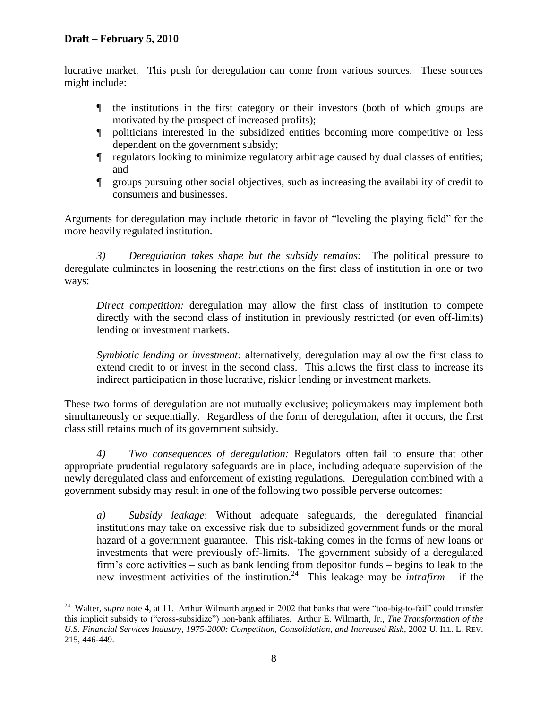$\overline{a}$ 

lucrative market. This push for deregulation can come from various sources. These sources might include:

- ¶ the institutions in the first category or their investors (both of which groups are motivated by the prospect of increased profits);
- ¶ politicians interested in the subsidized entities becoming more competitive or less dependent on the government subsidy;
- ¶ regulators looking to minimize regulatory arbitrage caused by dual classes of entities; and
- ¶ groups pursuing other social objectives, such as increasing the availability of credit to consumers and businesses.

Arguments for deregulation may include rhetoric in favor of "leveling the playing field" for the more heavily regulated institution.

*3) Deregulation takes shape but the subsidy remains:* The political pressure to deregulate culminates in loosening the restrictions on the first class of institution in one or two ways:

*Direct competition:* deregulation may allow the first class of institution to compete directly with the second class of institution in previously restricted (or even off-limits) lending or investment markets.

*Symbiotic lending or investment:* alternatively, deregulation may allow the first class to extend credit to or invest in the second class. This allows the first class to increase its indirect participation in those lucrative, riskier lending or investment markets.

These two forms of deregulation are not mutually exclusive; policymakers may implement both simultaneously or sequentially. Regardless of the form of deregulation, after it occurs, the first class still retains much of its government subsidy.

*4) Two consequences of deregulation:* Regulators often fail to ensure that other appropriate prudential regulatory safeguards are in place, including adequate supervision of the newly deregulated class and enforcement of existing regulations. Deregulation combined with a government subsidy may result in one of the following two possible perverse outcomes:

*a) Subsidy leakage*: Without adequate safeguards, the deregulated financial institutions may take on excessive risk due to subsidized government funds or the moral hazard of a government guarantee. This risk-taking comes in the forms of new loans or investments that were previously off-limits. The government subsidy of a deregulated firm"s core activities – such as bank lending from depositor funds – begins to leak to the new investment activities of the institution.<sup>24</sup> This leakage may be *intrafirm* – if the

<sup>&</sup>lt;sup>24</sup> Walter, *supra* note [4,](#page-3-0) at 11. Arthur Wilmarth argued in 2002 that banks that were "too-big-to-fail" could transfer this implicit subsidy to ("cross-subsidize") non-bank affiliates. Arthur E. Wilmarth, Jr., *The Transformation of the U.S. Financial Services Industry, 1975-2000: Competition, Consolidation, and Increased Risk*, 2002 U. ILL. L. REV. 215, 446-449.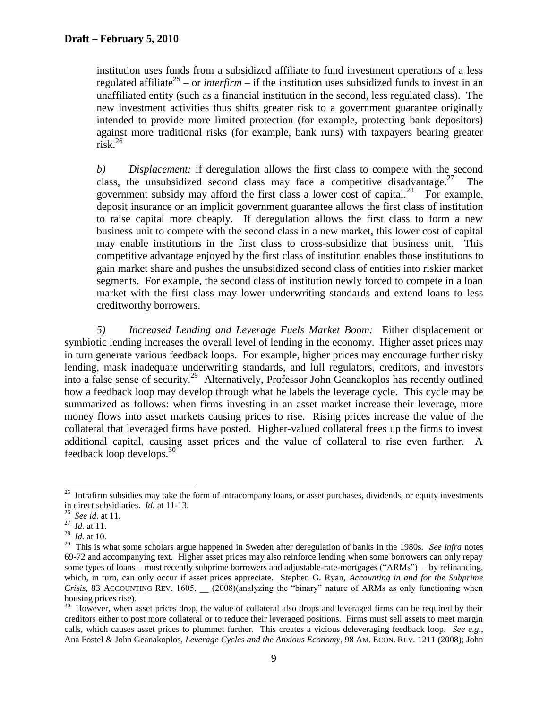institution uses funds from a subsidized affiliate to fund investment operations of a less regulated affiliate<sup>25</sup> – or *interfirm* – if the institution uses subsidized funds to invest in an unaffiliated entity (such as a financial institution in the second, less regulated class). The new investment activities thus shifts greater risk to a government guarantee originally intended to provide more limited protection (for example, protecting bank depositors) against more traditional risks (for example, bank runs) with taxpayers bearing greater  $\arcsin \frac{26}{15}$ 

<span id="page-9-0"></span>*b) Displacement:* if deregulation allows the first class to compete with the second class, the unsubsidized second class may face a competitive disadvantage.<sup>27</sup> The government subsidy may afford the first class a lower cost of capital. $^{28}$  For example, deposit insurance or an implicit government guarantee allows the first class of institution to raise capital more cheaply. If deregulation allows the first class to form a new business unit to compete with the second class in a new market, this lower cost of capital may enable institutions in the first class to cross-subsidize that business unit. This competitive advantage enjoyed by the first class of institution enables those institutions to gain market share and pushes the unsubsidized second class of entities into riskier market segments. For example, the second class of institution newly forced to compete in a loan market with the first class may lower underwriting standards and extend loans to less creditworthy borrowers.

<span id="page-9-3"></span><span id="page-9-2"></span><span id="page-9-1"></span>*5) Increased Lending and Leverage Fuels Market Boom:* Either displacement or symbiotic lending increases the overall level of lending in the economy. Higher asset prices may in turn generate various feedback loops. For example, higher prices may encourage further risky lending, mask inadequate underwriting standards, and lull regulators, creditors, and investors into a false sense of security.<sup>29</sup> Alternatively, Professor John Geanakoplos has recently outlined how a feedback loop may develop through what he labels the leverage cycle. This cycle may be summarized as follows: when firms investing in an asset market increase their leverage, more money flows into asset markets causing prices to rise. Rising prices increase the value of the collateral that leveraged firms have posted. Higher-valued collateral frees up the firms to invest additional capital, causing asset prices and the value of collateral to rise even further. A feedback loop develops.<sup>30</sup>

<sup>&</sup>lt;sup>25</sup> Intrafirm subsidies may take the form of intracompany loans, or asset purchases, dividends, or equity investments in direct subsidiaries. *Id.* at 11-13.

<sup>26</sup> *See id*. at 11.

<sup>27</sup> *Id.* at 11.

<sup>28</sup> *Id.* at 10.

<sup>&</sup>lt;sup>29</sup> This is what some scholars argue happened in Sweden after deregulation of banks in the 1980s. *See infra* notes [69](#page-12-0)[-72](#page-12-1) and accompanying text. Higher asset prices may also reinforce lending when some borrowers can only repay some types of loans – most recently subprime borrowers and adjustable-rate-mortgages ("ARMs") – by refinancing, which, in turn, can only occur if asset prices appreciate. Stephen G. Ryan, *Accounting in and for the Subprime Crisis*, 83 ACCOUNTING REV. 1605, (2008)(analyzing the "binary" nature of ARMs as only functioning when housing prices rise).

<sup>&</sup>lt;sup>30</sup> However, when asset prices drop, the value of collateral also drops and leveraged firms can be required by their creditors either to post more collateral or to reduce their leveraged positions. Firms must sell assets to meet margin calls, which causes asset prices to plummet further. This creates a vicious deleveraging feedback loop. *See e.g.*, Ana Fostel & John Geanakoplos, *Leverage Cycles and the Anxious Economy*, 98 AM. ECON. REV. 1211 (2008); John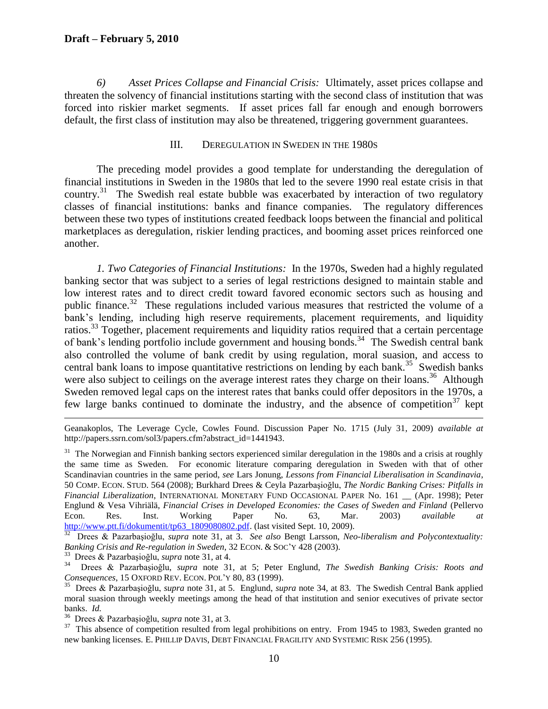#### **Draft – February 5, 2010**

*6) Asset Prices Collapse and Financial Crisis:* Ultimately, asset prices collapse and threaten the solvency of financial institutions starting with the second class of institution that was forced into riskier market segments. If asset prices fall far enough and enough borrowers default, the first class of institution may also be threatened, triggering government guarantees.

#### <span id="page-10-3"></span><span id="page-10-2"></span><span id="page-10-1"></span><span id="page-10-0"></span>III. DEREGULATION IN SWEDEN IN THE 1980S

The preceding model provides a good template for understanding the deregulation of financial institutions in Sweden in the 1980s that led to the severe 1990 real estate crisis in that country.<sup>31</sup> The Swedish real estate bubble was exacerbated by interaction of two regulatory classes of financial institutions: banks and finance companies. The regulatory differences between these two types of institutions created feedback loops between the financial and political marketplaces as deregulation, riskier lending practices, and booming asset prices reinforced one another.

*1. Two Categories of Financial Institutions:* In the 1970s, Sweden had a highly regulated banking sector that was subject to a series of legal restrictions designed to maintain stable and low interest rates and to direct credit toward favored economic sectors such as housing and public finance.<sup>32</sup> These regulations included various measures that restricted the volume of a bank's lending, including high reserve requirements, placement requirements, and liquidity ratios.<sup>33</sup> Together, placement requirements and liquidity ratios required that a certain percentage of bank's lending portfolio include government and housing bonds.<sup>34</sup> The Swedish central bank also controlled the volume of bank credit by using regulation, moral suasion, and access to central bank loans to impose quantitative restrictions on lending by each bank.<sup>35</sup> Swedish banks were also subject to ceilings on the average interest rates they charge on their loans.<sup>36</sup> Although Sweden removed legal caps on the interest rates that banks could offer depositors in the 1970s, a few large banks continued to dominate the industry, and the absence of competition<sup>37</sup> kept

 $\overline{a}$ Geanakoplos, The Leverage Cycle, Cowles Found. Discussion Paper No. 1715 (July 31, 2009) *available at*  http://papers.ssrn.com/sol3/papers.cfm?abstract\_id=1441943.

<sup>31</sup> The Norwegian and Finnish banking sectors experienced similar deregulation in the 1980s and a crisis at roughly the same time as Sweden. For economic literature comparing deregulation in Sweden with that of other Scandinavian countries in the same period, *see* Lars Jonung, *Lessons from Financial Liberalisation in Scandinavia*, 50 COMP. ECON. STUD. 564 (2008); Burkhard Drees & Ceyla Pazarbaşioğlu, *The Nordic Banking Crises: Pitfalls in Financial Liberalization*, INTERNATIONAL MONETARY FUND OCCASIONAL PAPER No. 161 \_\_ (Apr. 1998); Peter Englund & Vesa Vihriälä, *Financial Crises in Developed Economies: the Cases of Sweden and Finland* (Pellervo Econ. Res. Inst. Working Paper No. 63, Mar. 2003) *available at* [http://www.ptt.fi/dokumentit/tp63\\_1809080802.pdf.](http://www.ptt.fi/dokumentit/tp63_1809080802.pdf) (last visited Sept. 10, 2009).

 Drees & Pazarbaşioğlu, *supra* note [31,](#page-9-0) at 3. *See also* Bengt Larsson, *Neo-liberalism and Polycontextuality: Banking Crisis and Re-regulation in Sweden*, 32 ECON. & SOC"Y 428 (2003).

33 Drees & Pazarbaşioğlu, *supra* not[e 31,](#page-9-0) at 4.

34 Drees & Pazarbaşioğlu, *supra* note [31,](#page-9-0) at 5; Peter Englund, *The Swedish Banking Crisis: Roots and Consequences*, 15 OXFORD REV. ECON. POL"Y 80, 83 (1999).

35 Drees & Pazarbaşioğlu, *supra* note [31,](#page-9-0) at 5. Englund, *supra* note [34,](#page-9-1) at 83. The Swedish Central Bank applied moral suasion through weekly meetings among the head of that institution and senior executives of private sector banks. *Id.*

36 Drees & Pazarbaşioğlu, *supra* not[e 31,](#page-9-0) at 3.

<sup>37</sup> This absence of competition resulted from legal prohibitions on entry. From 1945 to 1983, Sweden granted no new banking licenses. E. PHILLIP DAVIS, DEBT FINANCIAL FRAGILITY AND SYSTEMIC RISK 256 (1995).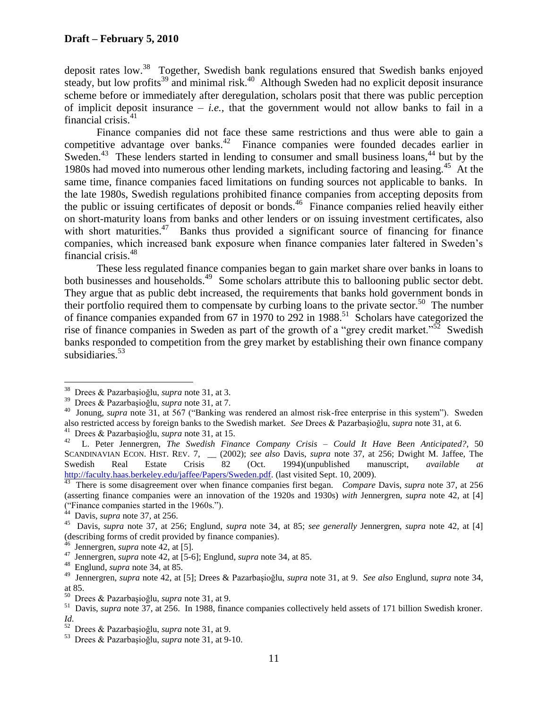deposit rates low.<sup>38</sup> Together, Swedish bank regulations ensured that Swedish banks enjoyed steady, but low profits<sup>39</sup> and minimal risk.<sup>40</sup> Although Sweden had no explicit deposit insurance scheme before or immediately after deregulation, scholars posit that there was public perception of implicit deposit insurance  $-$  *i.e.*, that the government would not allow banks to fail in a financial crisis.<sup>41</sup>

<span id="page-11-0"></span>Finance companies did not face these same restrictions and thus were able to gain a competitive advantage over banks.<sup>42</sup> Finance companies were founded decades earlier in Sweden.<sup>43</sup> These lenders started in lending to consumer and small business loans,<sup>44</sup> but by the 1980s had moved into numerous other lending markets, including factoring and leasing.<sup>45</sup> At the same time, finance companies faced limitations on funding sources not applicable to banks. In the late 1980s, Swedish regulations prohibited finance companies from accepting deposits from the public or issuing certificates of deposit or bonds.<sup>46</sup> Finance companies relied heavily either on short-maturity loans from banks and other lenders or on issuing investment certificates, also with short maturities. $47$  Banks thus provided a significant source of financing for finance companies, which increased bank exposure when finance companies later faltered in Sweden"s financial crisis.<sup>48</sup>

These less regulated finance companies began to gain market share over banks in loans to both businesses and households.<sup>49</sup> Some scholars attribute this to ballooning public sector debt. They argue that as public debt increased, the requirements that banks hold government bonds in their portfolio required them to compensate by curbing loans to the private sector.<sup>50</sup> The number of finance companies expanded from 67 in 1970 to 292 in 1988.<sup>51</sup> Scholars have categorized the rise of finance companies in Sweden as part of the growth of a "grey credit market."<sup>52</sup> Swedish banks responded to competition from the grey market by establishing their own finance company subsidiaries. 53

<sup>38</sup> Drees & Pazarbaşioğlu, *supra* not[e 31,](#page-9-0) at 3.

<sup>39</sup> Drees & Pazarbaşioğlu, *supra* not[e 31,](#page-9-0) at 7.

<sup>&</sup>lt;sup>40</sup> Jonung, *supra* note [31,](#page-9-0) at 567 ("Banking was rendered an almost risk-free enterprise in this system"). Sweden also restricted access by foreign banks to the Swedish market. *See* Drees & Pazarbaşioğlu, *supra* note [31,](#page-9-0) at 6. 41

Drees & Pazarbaşioğlu, *supra* not[e 31,](#page-9-0) at 15.

<sup>42</sup> L. Peter Jennergren, *The Swedish Finance Company Crisis – Could It Have Been Anticipated?*, 50 SCANDINAVIAN ECON. HIST. REV. 7, \_\_ (2002); *see also* Davis, *supra* note [37,](#page-9-2) at 256; Dwight M. Jaffee, The Swedish Real Estate Crisis 82 (Oct. 1994)(unpublished manuscript, *available* [http://faculty.haas.berkeley.edu/jaffee/Papers/Sweden.pdf.](http://faculty.haas.berkeley.edu/jaffee/Papers/Sweden.pdf) (last visited Sept. 10, 2009).

<sup>&</sup>lt;sup>43</sup> There is some disagreement over when finance companies first began. *Compare* Davis, *supra* note [37,](#page-9-2) at 256 (asserting finance companies were an innovation of the 1920s and 1930s) *with* Jennergren, *supra* note [42,](#page-10-0) at [4] ("Finance companies started in the 1960s."). 44 Davis, *supra* note [37,](#page-9-2) at 256.

<sup>45</sup> Davis, *supra* note [37,](#page-9-2) at 256; Englund, *supra* note [34,](#page-9-1) at 85; *see generally* Jennergren, *supra* note [42,](#page-10-0) at [4] (describing forms of credit provided by finance companies). 46 Jennergren, *supra* note [42,](#page-10-0) at [5].

<sup>47</sup> Jennergren, *supra* note [42,](#page-10-0) at [5-6]; Englund, *supra* note [34,](#page-9-1) at 85.

<sup>48</sup> Englund, *supra* note [34,](#page-9-1) at 85.

<sup>49</sup> Jennergren, *supra* note [42,](#page-10-0) at [5]; Drees & Pazarbaşioğlu, *supra* note [31,](#page-9-0) at 9. *See also* Englund, *supra* note [34,](#page-9-1) at 85.

<sup>50</sup> Drees & Pazarbaşioğlu, *supra* not[e 31,](#page-9-0) at 9.

<sup>&</sup>lt;sup>51</sup> Davis, *supra* note [37,](#page-9-2) at 256. In 1988, finance companies collectively held assets of 171 billion Swedish kroner.

*Id.*<br><sup>52</sup> Drees & Pazarbaşioğlu, *supra* not[e 31,](#page-9-0) at 9.<br><sup>53</sup> Drees & Pezerbesioğlu, supra note 31, at 0.1

Drees & Pazarbaşioğlu, *supra* not[e 31,](#page-9-0) at 9-10.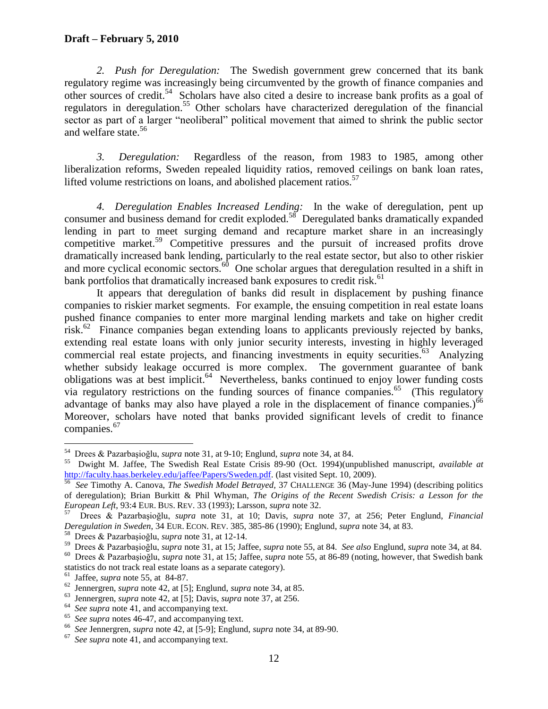*2. Push for Deregulation:* The Swedish government grew concerned that its bank regulatory regime was increasingly being circumvented by the growth of finance companies and other sources of credit. 54 Scholars have also cited a desire to increase bank profits as a goal of regulators in deregulation.<sup>55</sup> Other scholars have characterized deregulation of the financial sector as part of a larger "neoliberal" political movement that aimed to shrink the public sector and welfare state.<sup>56</sup>

<span id="page-12-1"></span><span id="page-12-0"></span>*3. Deregulation:* Regardless of the reason, from 1983 to 1985, among other liberalization reforms, Sweden repealed liquidity ratios, removed ceilings on bank loan rates, lifted volume restrictions on loans, and abolished placement ratios. $57$ 

*4. Deregulation Enables Increased Lending:* In the wake of deregulation, pent up consumer and business demand for credit exploded.<sup>58</sup> Deregulated banks dramatically expanded lending in part to meet surging demand and recapture market share in an increasingly competitive market.<sup>59</sup> Competitive pressures and the pursuit of increased profits drove dramatically increased bank lending, particularly to the real estate sector, but also to other riskier and more cyclical economic sectors. $60$  One scholar argues that deregulation resulted in a shift in bank portfolios that dramatically increased bank exposures to credit risk.<sup>61</sup>

It appears that deregulation of banks did result in displacement by pushing finance companies to riskier market segments. For example, the ensuing competition in real estate loans pushed finance companies to enter more marginal lending markets and take on higher credit risk.<sup>62</sup> Finance companies began extending loans to applicants previously rejected by banks, extending real estate loans with only junior security interests, investing in highly leveraged commercial real estate projects, and financing investments in equity securities.<sup>63</sup> Analyzing whether subsidy leakage occurred is more complex. The government guarantee of bank obligations was at best implicit.<sup>64</sup> Nevertheless, banks continued to enjoy lower funding costs via regulatory restrictions on the funding sources of finance companies.<sup>65</sup> (This regulatory advantage of banks may also have played a role in the displacement of finance companies.) $66$ Moreover, scholars have noted that banks provided significant levels of credit to finance companies.<sup>67</sup>

 54 Drees & Pazarbaşioğlu, *supra* not[e 31,](#page-9-0) at 9-10; Englund, *supra* note [34,](#page-9-1) at 84.

<sup>55</sup> Dwight M. Jaffee, The Swedish Real Estate Crisis 89-90 (Oct. 1994)(unpublished manuscript, *available at* [http://faculty.haas.berkeley.edu/jaffee/Papers/Sweden.pdf.](http://faculty.haas.berkeley.edu/jaffee/Papers/Sweden.pdf) (last visited Sept. 10, 2009).

<sup>56</sup> *See* Timothy A. Canova, *The Swedish Model Betrayed,* 37 CHALLENGE 36 (May-June 1994) (describing politics of deregulation); Brian Burkitt & Phil Whyman, *The Origins of the Recent Swedish Crisis: a Lesson for the European Left*, 93:4 EUR. BUS. REV. 33 (1993); Larsson, *supra* note [32.](#page-9-3)  57

Drees & Pazarbaşioğlu, *supra* note [31,](#page-9-0) at 10; Davis, *supra* note [37,](#page-9-2) at 256; Peter Englund, *Financial Deregulation in Sweden*, 34 EUR. ECON. REV. 385, 385-86 (1990); Englund, *supra* note [34,](#page-9-1) at 83. 58 Drees & Pazarbaşioğlu, *supra* not[e 31,](#page-9-0) at 12-14.

<sup>59</sup> Drees & Pazarbaşioğlu, *supra* not[e 31,](#page-9-0) at 15; Jaffee, *supra* note [55,](#page-11-0) at 84. *See also* Englund, *supra* note [34,](#page-9-1) at 84.

<sup>60</sup> Drees & Pazarbaşioğlu, *supra* note [31,](#page-9-0) at 15; Jaffee, *supra* not[e 55,](#page-11-0) at 86-89 (noting, however, that Swedish bank statistics do not track real estate loans as a separate category).

<sup>61</sup> Jaffee, *supra* note [55,](#page-11-0) at 84-87.

<sup>62</sup> Jennergren, *supra* note [42,](#page-10-0) at [5]; Englund, *supra* note [34,](#page-9-1) at 85.

<sup>63</sup> Jennergren, *supra* note [42,](#page-10-0) at [5]; Davis, *supra* note [37,](#page-9-2) at 256.

<sup>64</sup> *See supra* note [41,](#page-10-1) and accompanying text.

<sup>65</sup> *See supra* notes [46](#page-10-2)[-47,](#page-10-3) and accompanying text.

<sup>66</sup> *See* Jennergren, *supra* not[e 42,](#page-10-0) at [5-9]; Englund, *supra* not[e 34,](#page-9-1) at 89-90.

<sup>&</sup>lt;sup>67</sup> See supra note [41,](#page-10-1) and accompanying text.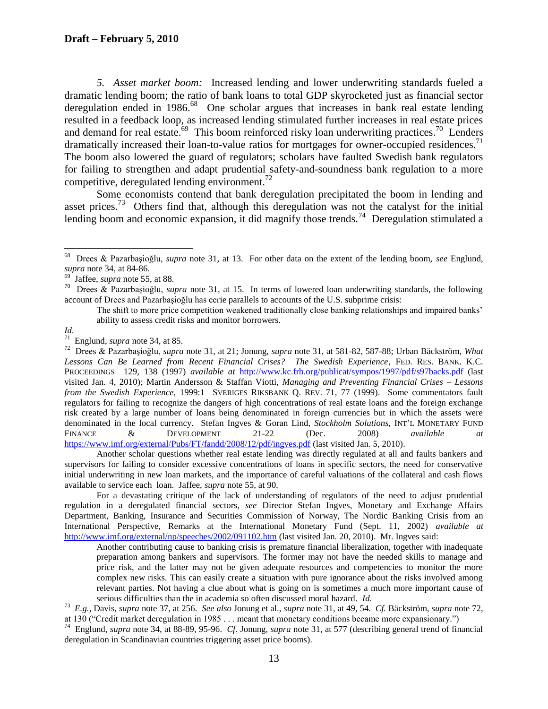*5. Asset market boom:* Increased lending and lower underwriting standards fueled a dramatic lending boom; the ratio of bank loans to total GDP skyrocketed just as financial sector deregulation ended in 1986.<sup>68</sup> One scholar argues that increases in bank real estate lending resulted in a feedback loop, as increased lending stimulated further increases in real estate prices and demand for real estate.<sup>69</sup> This boom reinforced risky loan underwriting practices.<sup>70</sup> Lenders dramatically increased their loan-to-value ratios for mortgages for owner-occupied residences.<sup>71</sup> The boom also lowered the guard of regulators; scholars have faulted Swedish bank regulators for failing to strengthen and adapt prudential safety-and-soundness bank regulation to a more competitive, deregulated lending environment.<sup>72</sup>

Some economists contend that bank deregulation precipitated the boom in lending and asset prices.<sup>73</sup> Others find that, although this deregulation was not the catalyst for the initial lending boom and economic expansion, it did magnify those trends.<sup>74</sup> Deregulation stimulated a

Another scholar questions whether real estate lending was directly regulated at all and faults bankers and supervisors for failing to consider excessive concentrations of loans in specific sectors, the need for conservative initial underwriting in new loan markets, and the importance of careful valuations of the collateral and cash flows available to service each loan. Jaffee, *supra* not[e 55,](#page-11-0) at 90.

For a devastating critique of the lack of understanding of regulators of the need to adjust prudential regulation in a deregulated financial sectors, *see* Director Stefan Ingves, Monetary and Exchange Affairs Department, Banking, Insurance and Securities Commission of Norway, The Nordic Banking Crisis from an International Perspective, Remarks at the International Monetary Fund (Sept. 11, 2002) *available at* <http://www.imf.org/external/np/speeches/2002/091102.htm> (last visited Jan. 20, 2010). Mr. Ingves said:

Another contributing cause to banking crisis is premature financial liberalization, together with inadequate preparation among bankers and supervisors. The former may not have the needed skills to manage and price risk, and the latter may not be given adequate resources and competencies to monitor the more complex new risks. This can easily create a situation with pure ignorance about the risks involved among relevant parties. Not having a clue about what is going on is sometimes a much more important cause of serious difficulties than the in academia so often discussed moral hazard. *Id.*

 68 Drees & Pazarbaşioğlu, *supra* note [31,](#page-9-0) at 13. For other data on the extent of the lending boom, *see* Englund, *supra* note [34,](#page-9-1) at 84-86.

<sup>69</sup> Jaffee, *supra* note [55,](#page-11-0) at 88.

<sup>70</sup> Drees & Pazarbaşioğlu, *supra* note [31,](#page-9-0) at 15. In terms of lowered loan underwriting standards, the following account of Drees and Pazarbaşioğlu has eerie parallels to accounts of the U.S. subprime crisis:

The shift to more price competition weakened traditionally close banking relationships and impaired banks" ability to assess credit risks and monitor borrowers.

*Id.* 71 Englund, *supra* note [34,](#page-9-1) at 85.

<sup>72</sup> Drees & Pazarbaşioğlu, *supra* note [31,](#page-9-0) at 21; Jonung, *supra* note [31,](#page-9-0) at 581-82, 587-88; Urban Bäckström, *What Lessons Can Be Learned from Recent Financial Crises? The Swedish Experience*, FED. RES. BANK. K.C. PROCEEDINGS 129, 138 (1997) *available at* <http://www.kc.frb.org/publicat/sympos/1997/pdf/s97backs.pdf> (last visited Jan. 4, 2010); Martin Andersson & Staffan Viotti, *Managing and Preventing Financial Crises – Lessons from the Swedish Experience*, 1999:1 SVERIGES RIKSBANK Q. REV. 71, 77 (1999). Some commentators fault regulators for failing to recognize the dangers of high concentrations of real estate loans and the foreign exchange risk created by a large number of loans being denominated in foreign currencies but in which the assets were denominated in the local currency. Stefan Ingves & Goran Lind, *Stockholm Solutions*, INT"L MONETARY FUND FINANCE & DEVELOPMENT 21-22 (Dec. 2008) *available at*  <https://www.imf.org/external/Pubs/FT/fandd/2008/12/pdf/ingves.pdf> (last visited Jan. 5, 2010).

<sup>73</sup> *E.g.,* Davis, *supra* note [37,](#page-9-2) at 256. *See also* Jonung et al., *supra* note [31,](#page-9-0) at 49, 54. *Cf.* Bäckström, *supra* note [72,](#page-12-1) at 130 ("Credit market deregulation in 1985 . . . meant that monetary conditions became more expansionary.")<br><sup>74</sup> Englund, *supra* note [34,](#page-9-1) at 88-89, 95-96. *Cf.* Jonung, *supra* note [31,](#page-9-0) at 577 (describing general trend o

deregulation in Scandinavian countries triggering asset price booms).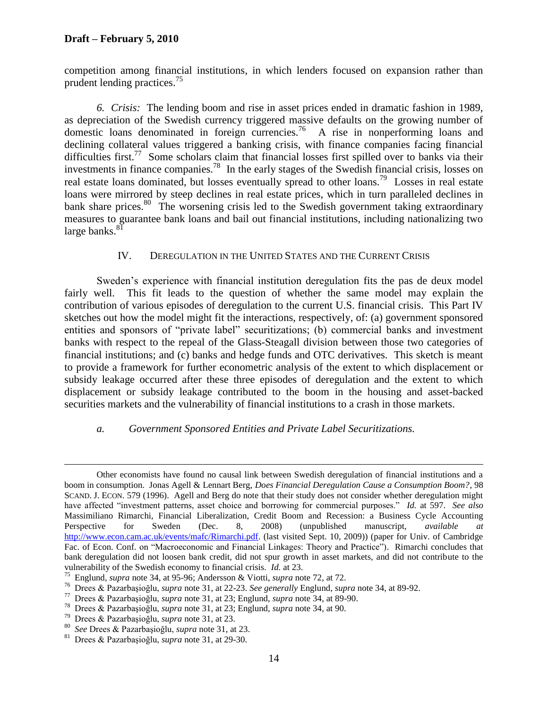# **Draft – February 5, 2010**

competition among financial institutions, in which lenders focused on expansion rather than prudent lending practices.<sup>75</sup>

<span id="page-14-0"></span>*6. Crisis:* The lending boom and rise in asset prices ended in dramatic fashion in 1989, as depreciation of the Swedish currency triggered massive defaults on the growing number of domestic loans denominated in foreign currencies.<sup>76</sup> A rise in nonperforming loans and declining collateral values triggered a banking crisis, with finance companies facing financial difficulties first.<sup>77</sup> Some scholars claim that financial losses first spilled over to banks via their investments in finance companies.<sup>78</sup> In the early stages of the Swedish financial crisis, losses on real estate loans dominated, but losses eventually spread to other loans.<sup>79</sup> Losses in real estate loans were mirrored by steep declines in real estate prices, which in turn paralleled declines in bank share prices.<sup>80</sup> The worsening crisis led to the Swedish government taking extraordinary measures to guarantee bank loans and bail out financial institutions, including nationalizing two large banks.<sup>81</sup>

### IV. DEREGULATION IN THE UNITED STATES AND THE CURRENT CRISIS

Sweden's experience with financial institution deregulation fits the pas de deux model fairly well. This fit leads to the question of whether the same model may explain the contribution of various episodes of deregulation to the current U.S. financial crisis. This Part IV sketches out how the model might fit the interactions, respectively, of: (a) government sponsored entities and sponsors of "private label" securitizations; (b) commercial banks and investment banks with respect to the repeal of the Glass-Steagall division between those two categories of financial institutions; and (c) banks and hedge funds and OTC derivatives. This sketch is meant to provide a framework for further econometric analysis of the extent to which displacement or subsidy leakage occurred after these three episodes of deregulation and the extent to which displacement or subsidy leakage contributed to the boom in the housing and asset-backed securities markets and the vulnerability of financial institutions to a crash in those markets.

### <span id="page-14-2"></span><span id="page-14-1"></span>*a. Government Sponsored Entities and Private Label Securitizations.*

Other economists have found no causal link between Swedish deregulation of financial institutions and a boom in consumption. Jonas Agell & Lennart Berg, *Does Financial Deregulation Cause a Consumption Boom?*, 98 SCAND. J. ECON. 579 (1996). Agell and Berg do note that their study does not consider whether deregulation might have affected "investment patterns, asset choice and borrowing for commercial purposes." *Id.* at 597. *See also* Massimiliano Rimarchi, Financial Liberalization, Credit Boom and Recession: a Business Cycle Accounting Perspective for Sweden (Dec. 8, 2008) (unpublished manuscript, *available at*  [http://www.econ.cam.ac.uk/events/mafc/Rimarchi.pdf.](http://www.econ.cam.ac.uk/events/mafc/Rimarchi.pdf) (last visited Sept. 10, 2009)) (paper for Univ. of Cambridge Fac. of Econ. Conf. on "Macroeconomic and Financial Linkages: Theory and Practice"). Rimarchi concludes that bank deregulation did not loosen bank credit, did not spur growth in asset markets, and did not contribute to the vulnerability of the Swedish economy to financial crisis. *Id.* at 23.

<sup>75</sup> Englund, *supra* note [34,](#page-9-1) at 95-96; Andersson & Viotti, *supra* not[e 72,](#page-12-1) at 72.

<sup>76</sup> Drees & Pazarbaşioğlu, *supra* not[e 31,](#page-9-0) at 22-23. *See generally* Englund, *supra* note [34,](#page-9-1) at 89-92.

<sup>77</sup> Drees & Pazarbaşioğlu, *supra* not[e 31,](#page-9-0) at 23; Englund, *supra* not[e 34,](#page-9-1) at 89-90.

<sup>78</sup> Drees & Pazarbaşioğlu, *supra* not[e 31,](#page-9-0) at 23; Englund, *supra* not[e 34,](#page-9-1) at 90.

<sup>79</sup> Drees & Pazarbaşioğlu, *supra* not[e 31,](#page-9-0) at 23.

<sup>80</sup> *See* Drees & Pazarbaşioğlu, *supra* note [31,](#page-9-0) at 23.

<sup>81</sup> Drees & Pazarbaşioğlu, *supra* not[e 31,](#page-9-0) at 29-30.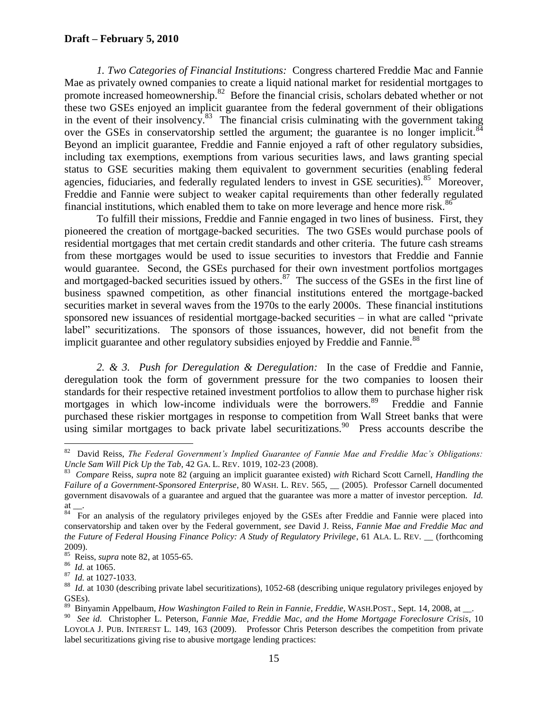<span id="page-15-0"></span>*1. Two Categories of Financial Institutions:* Congress chartered Freddie Mac and Fannie Mae as privately owned companies to create a liquid national market for residential mortgages to promote increased homeownership.<sup>82</sup> Before the financial crisis, scholars debated whether or not these two GSEs enjoyed an implicit guarantee from the federal government of their obligations in the event of their insolvency.<sup>83</sup> The financial crisis culminating with the government taking over the GSEs in conservatorship settled the argument; the guarantee is no longer implicit. $84$ Beyond an implicit guarantee, Freddie and Fannie enjoyed a raft of other regulatory subsidies, including tax exemptions, exemptions from various securities laws, and laws granting special status to GSE securities making them equivalent to government securities (enabling federal agencies, fiduciaries, and federally regulated lenders to invest in GSE securities).<sup>85</sup> Moreover, Freddie and Fannie were subject to weaker capital requirements than other federally regulated financial institutions, which enabled them to take on more leverage and hence more risk. $86^{\circ}$ 

To fulfill their missions, Freddie and Fannie engaged in two lines of business. First, they pioneered the creation of mortgage-backed securities. The two GSEs would purchase pools of residential mortgages that met certain credit standards and other criteria. The future cash streams from these mortgages would be used to issue securities to investors that Freddie and Fannie would guarantee. Second, the GSEs purchased for their own investment portfolios mortgages and mortgaged-backed securities issued by others.<sup>87</sup> The success of the GSEs in the first line of business spawned competition, as other financial institutions entered the mortgage-backed securities market in several waves from the 1970s to the early 2000s. These financial institutions sponsored new issuances of residential mortgage-backed securities – in what are called "private label" securitizations. The sponsors of those issuances, however, did not benefit from the implicit guarantee and other regulatory subsidies enjoyed by Freddie and Fannie.<sup>88</sup>

*2. & 3. Push for Deregulation & Deregulation:* In the case of Freddie and Fannie, deregulation took the form of government pressure for the two companies to loosen their standards for their respective retained investment portfolios to allow them to purchase higher risk mortgages in which low-income individuals were the borrowers.<sup>89</sup> Freddie and Fannie purchased these riskier mortgages in response to competition from Wall Street banks that were  $u$ simg similar mortgages to back private label securitizations.<sup>90</sup> Press accounts describe the

 82 David Reiss, *The Federal Government"s Implied Guarantee of Fannie Mae and Freddie Mac"s Obligations: Uncle Sam Will Pick Up the Tab*, 42 GA. L. REV. 1019, 102-23 (2008).

<sup>83</sup> *Compare* Reiss, *supra* note [82](#page-14-0) (arguing an implicit guarantee existed) *with* Richard Scott Carnell, *Handling the Failure of a Government-Sponsored Enterprise*, 80 WASH. L. REV. 565, \_\_ (2005). Professor Carnell documented government disavowals of a guarantee and argued that the guarantee was more a matter of investor perception. *Id.* at \_\_.

<sup>&</sup>lt;sup>84</sup> For an analysis of the regulatory privileges enjoyed by the GSEs after Freddie and Fannie were placed into conservatorship and taken over by the Federal government, *see* David J. Reiss, *Fannie Mae and Freddie Mac and the Future of Federal Housing Finance Policy: A Study of Regulatory Privilege*, 61 ALA. L. REV. \_\_ (forthcoming 2009).

<sup>85</sup> Reiss, *supra* note [82,](#page-14-0) at 1055-65.

<sup>86</sup> *Id.* at 1065.

<sup>87</sup> *Id.* at 1027-1033.

<sup>88</sup> *Id.* at 1030 (describing private label securitizations), 1052-68 (describing unique regulatory privileges enjoyed by GSEs).

<sup>&</sup>lt;sup>89</sup> Binyamin Appelbaum, *How Washington Failed to Rein in Fannie, Freddie*, WASH.POST., Sept. 14, 2008, at \_\_.

<sup>90</sup> *See id.* Christopher L. Peterson, *Fannie Mae, Freddie Mac, and the Home Mortgage Foreclosure Crisis*, 10 LOYOLA J. PUB. INTEREST L. 149, 163 (2009). Professor Chris Peterson describes the competition from private label securitizations giving rise to abusive mortgage lending practices: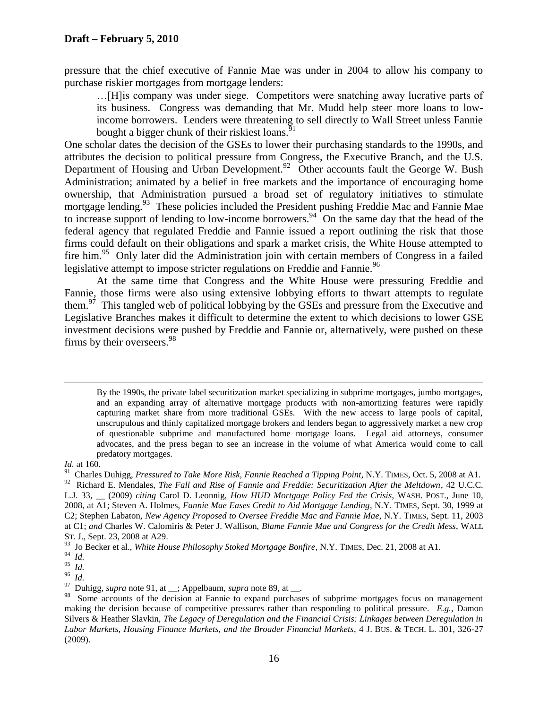pressure that the chief executive of Fannie Mae was under in 2004 to allow his company to purchase riskier mortgages from mortgage lenders:

…[H]is company was under siege. Competitors were snatching away lucrative parts of its business. Congress was demanding that Mr. Mudd help steer more loans to lowincome borrowers. Lenders were threatening to sell directly to Wall Street unless Fannie bought a bigger chunk of their riskiest loans.<sup>91</sup>

One scholar dates the decision of the GSEs to lower their purchasing standards to the 1990s, and attributes the decision to political pressure from Congress, the Executive Branch, and the U.S. Department of Housing and Urban Development.<sup>92</sup> Other accounts fault the George W. Bush Administration; animated by a belief in free markets and the importance of encouraging home ownership, that Administration pursued a broad set of regulatory initiatives to stimulate mortgage lending.<sup>93</sup> These policies included the President pushing Freddie Mac and Fannie Mae to increase support of lending to low-income borrowers.<sup>94</sup> On the same day that the head of the federal agency that regulated Freddie and Fannie issued a report outlining the risk that those firms could default on their obligations and spark a market crisis, the White House attempted to fire him.<sup>95</sup> Only later did the Administration join with certain members of Congress in a failed legislative attempt to impose stricter regulations on Freddie and Fannie.<sup>96</sup>

At the same time that Congress and the White House were pressuring Freddie and Fannie, those firms were also using extensive lobbying efforts to thwart attempts to regulate them. $97$  This tangled web of political lobbying by the GSEs and pressure from the Executive and Legislative Branches makes it difficult to determine the extent to which decisions to lower GSE investment decisions were pushed by Freddie and Fannie or, alternatively, were pushed on these firms by their overseers.<sup>98</sup>

By the 1990s, the private label securitization market specializing in subprime mortgages, jumbo mortgages, and an expanding array of alternative mortgage products with non-amortizing features were rapidly capturing market share from more traditional GSEs. With the new access to large pools of capital, unscrupulous and thinly capitalized mortgage brokers and lenders began to aggressively market a new crop of questionable subprime and manufactured home mortgage loans. Legal aid attorneys, consumer advocates, and the press began to see an increase in the volume of what America would come to call predatory mortgages.

#### *Id.* at 160.

<sup>&</sup>lt;sup>91</sup> Charles Duhigg, *Pressured to Take More Risk, Fannie Reached a Tipping Point*, N.Y. TIMES, Oct. 5, 2008 at A1.

<sup>92</sup> Richard E. Mendales, *The Fall and Rise of Fannie and Freddie: Securitization After the Meltdown*, 42 U.C.C. L.J. 33, \_\_ (2009) *citing* Carol D. Leonnig, *How HUD Mortgage Policy Fed the Crisis*, WASH. POST., June 10, 2008, at A1; Steven A. Holmes, *Fannie Mae Eases Credit to Aid Mortgage Lending*, N.Y. TIMES, Sept. 30, 1999 at C2; Stephen Labaton, *New Agency Proposed to Oversee Freddie Mac and Fannie Mae*, N.Y. TIMES, Sept. 11, 2003 at C1; *and* Charles W. Calomiris & Peter J. Wallison, *Blame Fannie Mae and Congress for the Credit Mess*, WALL ST. J., Sept. 23, 2008 at A29.

<sup>93</sup> Jo Becker et al., *White House Philosophy Stoked Mortgage Bonfire*, N.Y. TIMES, Dec. 21, 2008 at A1.

<sup>94</sup> *Id.*

<sup>95</sup> *Id.*

<sup>96</sup> *Id.*

<sup>97</sup> Duhigg, *supra* note [91,](#page-15-0) at ; Appelbaum, *supra* note [89,](#page-14-1) at .

<sup>&</sup>lt;sup>98</sup> Some accounts of the decision at Fannie to expand purchases of subprime mortgages focus on management making the decision because of competitive pressures rather than responding to political pressure. *E.g.*, Damon Silvers & Heather Slavkin, *The Legacy of Deregulation and the Financial Crisis: Linkages between Deregulation in Labor Markets, Housing Finance Markets, and the Broader Financial Markets*, 4 J. BUS. & TECH. L. 301, 326-27 (2009).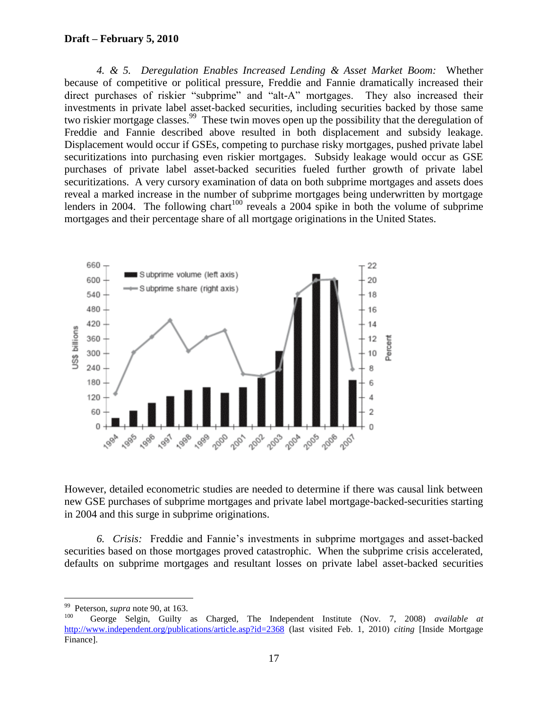*4. & 5. Deregulation Enables Increased Lending & Asset Market Boom:* Whether because of competitive or political pressure, Freddie and Fannie dramatically increased their direct purchases of riskier "subprime" and "alt-A" mortgages. They also increased their investments in private label asset-backed securities, including securities backed by those same two riskier mortgage classes.<sup>99</sup> These twin moves open up the possibility that the deregulation of Freddie and Fannie described above resulted in both displacement and subsidy leakage. Displacement would occur if GSEs, competing to purchase risky mortgages, pushed private label securitizations into purchasing even riskier mortgages. Subsidy leakage would occur as GSE purchases of private label asset-backed securities fueled further growth of private label securitizations. A very cursory examination of data on both subprime mortgages and assets does reveal a marked increase in the number of subprime mortgages being underwritten by mortgage lenders in 2004. The following chart<sup>100</sup> reveals a 2004 spike in both the volume of subprime mortgages and their percentage share of all mortgage originations in the United States.

<span id="page-17-0"></span>

However, detailed econometric studies are needed to determine if there was causal link between new GSE purchases of subprime mortgages and private label mortgage-backed-securities starting in 2004 and this surge in subprime originations.

*6. Crisis:* Freddie and Fannie"s investments in subprime mortgages and asset-backed securities based on those mortgages proved catastrophic. When the subprime crisis accelerated, defaults on subprime mortgages and resultant losses on private label asset-backed securities

<sup>99</sup> Peterson, *supra* note [90,](#page-14-2) at 163.

<sup>100</sup> George Selgin, Guilty as Charged, The Independent Institute (Nov. 7, 2008) *available at* <http://www.independent.org/publications/article.asp?id=2368> (last visited Feb. 1, 2010) *citing* [Inside Mortgage Finance].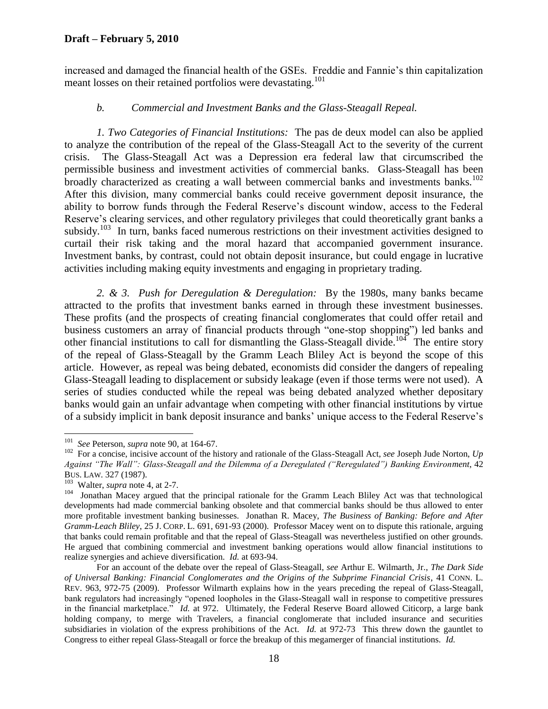### **Draft – February 5, 2010**

increased and damaged the financial health of the GSEs. Freddie and Fannie"s thin capitalization meant losses on their retained portfolios were devastating.<sup>101</sup>

# <span id="page-18-2"></span><span id="page-18-1"></span><span id="page-18-0"></span>*b. Commercial and Investment Banks and the Glass-Steagall Repeal.*

*1. Two Categories of Financial Institutions:* The pas de deux model can also be applied to analyze the contribution of the repeal of the Glass-Steagall Act to the severity of the current crisis. The Glass-Steagall Act was a Depression era federal law that circumscribed the permissible business and investment activities of commercial banks. Glass-Steagall has been broadly characterized as creating a wall between commercial banks and investments banks.<sup>102</sup> After this division, many commercial banks could receive government deposit insurance, the ability to borrow funds through the Federal Reserve"s discount window, access to the Federal Reserve's clearing services, and other regulatory privileges that could theoretically grant banks a subsidy.<sup>103</sup> In turn, banks faced numerous restrictions on their investment activities designed to curtail their risk taking and the moral hazard that accompanied government insurance. Investment banks, by contrast, could not obtain deposit insurance, but could engage in lucrative activities including making equity investments and engaging in proprietary trading.

*2. & 3. Push for Deregulation & Deregulation:* By the 1980s, many banks became attracted to the profits that investment banks earned in through these investment businesses. These profits (and the prospects of creating financial conglomerates that could offer retail and business customers an array of financial products through "one-stop shopping") led banks and other financial institutions to call for dismantling the Glass-Steagall divide.<sup>104</sup> The entire story of the repeal of Glass-Steagall by the Gramm Leach Bliley Act is beyond the scope of this article. However, as repeal was being debated, economists did consider the dangers of repealing Glass-Steagall leading to displacement or subsidy leakage (even if those terms were not used). A series of studies conducted while the repeal was being debated analyzed whether depositary banks would gain an unfair advantage when competing with other financial institutions by virtue of a subsidy implicit in bank deposit insurance and banks" unique access to the Federal Reserve"s

 101 *See* Peterson, *supra* not[e 90,](#page-14-2) at 164-67.

<sup>102</sup> For a concise, incisive account of the history and rationale of the Glass-Steagall Act, *see* Joseph Jude Norton, *Up Against "The Wall": Glass-Steagall and the Dilemma of a Deregulated ("Reregulated") Banking Environment*, 42 BUS. LAW. 327 (1987).

<sup>103</sup> Walter, *supra* note [4,](#page-3-0) at 2-7.

<sup>104</sup> Jonathan Macey argued that the principal rationale for the Gramm Leach Bliley Act was that technological developments had made commercial banking obsolete and that commercial banks should be thus allowed to enter more profitable investment banking businesses. Jonathan R. Macey, *The Business of Banking: Before and After Gramm-Leach Bliley*, 25 J. CORP. L. 691, 691-93 (2000). Professor Macey went on to dispute this rationale, arguing that banks could remain profitable and that the repeal of Glass-Steagall was nevertheless justified on other grounds. He argued that combining commercial and investment banking operations would allow financial institutions to realize synergies and achieve diversification. *Id.* at 693-94.

For an account of the debate over the repeal of Glass-Steagall, *see* Arthur E. Wilmarth, Jr., *The Dark Side of Universal Banking: Financial Conglomerates and the Origins of the Subprime Financial Crisis*, 41 CONN. L. REV. 963, 972-75 (2009). Professor Wilmarth explains how in the years preceding the repeal of Glass-Steagall, bank regulators had increasingly "opened loopholes in the Glass-Steagall wall in response to competitive pressures in the financial marketplace." *Id.* at 972. Ultimately, the Federal Reserve Board allowed Citicorp, a large bank holding company, to merge with Travelers, a financial conglomerate that included insurance and securities subsidiaries in violation of the express prohibitions of the Act. *Id.* at 972-73 This threw down the gauntlet to Congress to either repeal Glass-Steagall or force the breakup of this megamerger of financial institutions. *Id.*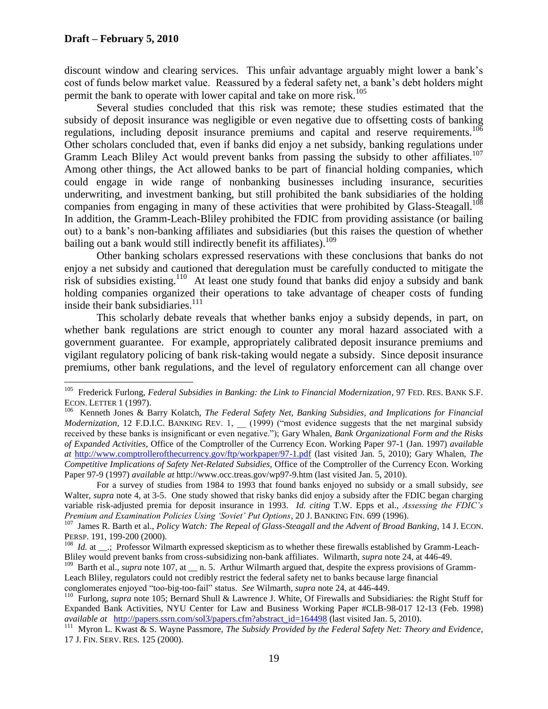discount window and clearing services. This unfair advantage arguably might lower a bank"s cost of funds below market value. Reassured by a federal safety net, a bank"s debt holders might permit the bank to operate with lower capital and take on more risk.<sup>105</sup>

<span id="page-19-1"></span><span id="page-19-0"></span>Several studies concluded that this risk was remote; these studies estimated that the subsidy of deposit insurance was negligible or even negative due to offsetting costs of banking regulations, including deposit insurance premiums and capital and reserve requirements.<sup>106</sup> Other scholars concluded that, even if banks did enjoy a net subsidy, banking regulations under Gramm Leach Bliley Act would prevent banks from passing the subsidy to other affiliates.<sup>107</sup> Among other things, the Act allowed banks to be part of financial holding companies, which could engage in wide range of nonbanking businesses including insurance, securities underwriting, and investment banking, but still prohibited the bank subsidiaries of the holding companies from engaging in many of these activities that were prohibited by Glass-Steagall.<sup>108</sup> In addition, the Gramm-Leach-Bliley prohibited the FDIC from providing assistance (or bailing out) to a bank"s non-banking affiliates and subsidiaries (but this raises the question of whether bailing out a bank would still indirectly benefit its affiliates).<sup>109</sup>

Other banking scholars expressed reservations with these conclusions that banks do not enjoy a net subsidy and cautioned that deregulation must be carefully conducted to mitigate the risk of subsidies existing.<sup>110</sup> At least one study found that banks did enjoy a subsidy and bank holding companies organized their operations to take advantage of cheaper costs of funding inside their bank subsidiaries.<sup>111</sup>

This scholarly debate reveals that whether banks enjoy a subsidy depends, in part, on whether bank regulations are strict enough to counter any moral hazard associated with a government guarantee. For example, appropriately calibrated deposit insurance premiums and vigilant regulatory policing of bank risk-taking would negate a subsidy. Since deposit insurance premiums, other bank regulations, and the level of regulatory enforcement can all change over

 105 Frederick Furlong, *Federal Subsidies in Banking: the Link to Financial Modernization*, 97 FED. RES. BANK S.F. ECON. LETTER 1 (1997).

<sup>106</sup> Kenneth Jones & Barry Kolatch, *The Federal Safety Net, Banking Subsidies, and Implications for Financial Modernization*, 12 F.D.I.C. BANKING REV. 1, (1999) ("most evidence suggests that the net marginal subsidy received by these banks is insignificant or even negative."); Gary Whalen, *Bank Organizational Form and the Risks of Expanded Activities*, Office of the Comptroller of the Currency Econ. Working Paper 97-1 (Jan. 1997) *available at* <http://www.comptrollerofthecurrency.gov/ftp/workpaper/97-1.pdf> (last visited Jan. 5, 2010); Gary Whalen, *The Competitive Implications of Safety Net-Related Subsidies*, Office of the Comptroller of the Currency Econ. Working Paper 97-9 (1997) *available at* http://www.occ.treas.gov/wp97-9.htm (last visited Jan. 5, 2010).

For a survey of studies from 1984 to 1993 that found banks enjoyed no subsidy or a small subsidy, *see* Walter, *supra* note [4,](#page-3-0) at 3-5. One study showed that risky banks did enjoy a subsidy after the FDIC began charging variable risk-adjusted premia for deposit insurance in 1993. *Id. citing* T.W. Epps et al., *Assessing the FDIC"s Premium and Examination Policies Using "Soviet" Put Options*, 20 J. BANKING FIN. 699 (1996). 107 James R. Barth et al., *Policy Watch: The Repeal of Glass-Steagall and the Advent of Broad Banking*, 14 J. ECON.

PERSP. 191, 199-200 (2000).

<sup>&</sup>lt;sup>108</sup> *Id.* at <sub>\_\_\_</sub>.; Professor Wilmarth expressed skepticism as to whether these firewalls established by Gramm-Leach-Bliley would prevent banks from cross-subsidizing non-bank affiliates. Wilmarth, *supra* not[e 24,](#page-7-0) at 446-49.

<sup>&</sup>lt;sup>109</sup> Barth et al., *supra* note [107,](#page-18-1) at \_\_ n. 5. Arthur Wilmarth argued that, despite the express provisions of Gramm-Leach Bliley, regulators could not credibly restrict the federal safety net to banks because large financial conglomerates enjoyed "too-big-too-fail" status. *See* Wilmarth, *supra* note [24,](#page-7-0) at 446-449.

<sup>&</sup>lt;sup>110</sup> Furlong, *supra* note [105;](#page-18-0) Bernard Shull & Lawrence J. White, Of Firewalls and Subsidiaries: the Right Stuff for Expanded Bank Activities, NYU Center for Law and Business Working Paper #CLB-98-017 12-13 (Feb. 1998) *available at* [http://papers.ssrn.com/sol3/papers.cfm?abstract\\_id=164498](http://papers.ssrn.com/sol3/papers.cfm?abstract_id=164498) (last visited Jan. 5, 2010).

<sup>&</sup>lt;sup>111</sup> Myron L. Kwast & S. Wayne Passmore, *The Subsidy Provided by the Federal Safety Net: Theory and Evidence*, 17 J. FIN. SERV. RES. 125 (2000).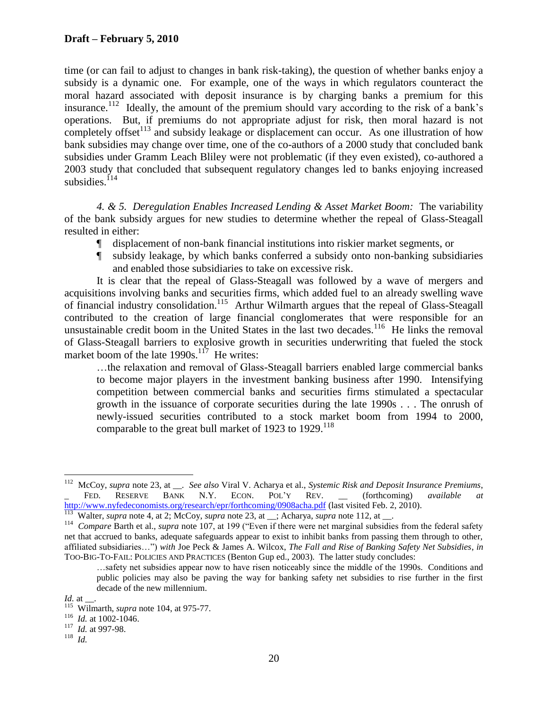time (or can fail to adjust to changes in bank risk-taking), the question of whether banks enjoy a subsidy is a dynamic one. For example, one of the ways in which regulators counteract the moral hazard associated with deposit insurance is by charging banks a premium for this insurance.<sup>112</sup> Ideally, the amount of the premium should vary according to the risk of a bank's operations. But, if premiums do not appropriate adjust for risk, then moral hazard is not completely offset<sup>113</sup> and subsidy leakage or displacement can occur. As one illustration of how bank subsidies may change over time, one of the co-authors of a 2000 study that concluded bank subsidies under Gramm Leach Bliley were not problematic (if they even existed), co-authored a 2003 study that concluded that subsequent regulatory changes led to banks enjoying increased subsidies. $114$ 

*4. & 5. Deregulation Enables Increased Lending & Asset Market Boom:* The variability of the bank subsidy argues for new studies to determine whether the repeal of Glass-Steagall resulted in either:

- ¶ displacement of non-bank financial institutions into riskier market segments, or
- ¶ subsidy leakage, by which banks conferred a subsidy onto non-banking subsidiaries and enabled those subsidiaries to take on excessive risk.

It is clear that the repeal of Glass-Steagall was followed by a wave of mergers and acquisitions involving banks and securities firms, which added fuel to an already swelling wave of financial industry consolidation.<sup>115</sup> Arthur Wilmarth argues that the repeal of Glass-Steagall contributed to the creation of large financial conglomerates that were responsible for an unsustainable credit boom in the United States in the last two decades.<sup>116</sup> He links the removal of Glass-Steagall barriers to explosive growth in securities underwriting that fueled the stock market boom of the late  $1990s$ .<sup>117</sup> He writes:

<span id="page-20-0"></span>…the relaxation and removal of Glass-Steagall barriers enabled large commercial banks to become major players in the investment banking business after 1990. Intensifying competition between commercial banks and securities firms stimulated a spectacular growth in the issuance of corporate securities during the late 1990s . . . The onrush of newly-issued securities contributed to a stock market boom from 1994 to 2000, comparable to the great bull market of 1923 to 1929.<sup>118</sup>

 $\frac{1}{112}$  McCoy, *supra* note [23,](#page-6-0) at \_\_. *See also* Viral V. Acharya et al., *Systemic Risk and Deposit Insurance Premiums*, FED. RESERVE BANK N.Y. ECON. POL'Y REV. (forthcoming) *available at* <http://www.nyfedeconomists.org/research/epr/forthcoming/0908acha.pdf> (last visited Feb. 2, 2010).

<sup>&</sup>lt;sup>113</sup> Walter, *supra* note [4,](#page-3-0) at 2; McCoy, *supra* note [23,](#page-6-0) at \_\_; Acharya, *supra* note [112,](#page-19-1) at \_\_.

<sup>&</sup>lt;sup>114</sup> Compare Barth et al., *supra* note [107,](#page-18-1) at 199 ("Even if there were net marginal subsidies from the federal safety net that accrued to banks, adequate safeguards appear to exist to inhibit banks from passing them through to other, affiliated subsidiaries…") *with* Joe Peck & James A. Wilcox, *The Fall and Rise of Banking Safety Net Subsidies*, *in* TOO-BIG-TO-FAIL: POLICIES AND PRACTICES (Benton Gup ed., 2003). The latter study concludes:

<span id="page-20-1"></span><sup>…</sup>safety net subsidies appear now to have risen noticeably since the middle of the 1990s. Conditions and public policies may also be paving the way for banking safety net subsidies to rise further in the first decade of the new millennium.

*Id.* at .

<sup>&</sup>lt;sup>115</sup> Wilmarth, *supra* note [104,](#page-17-0) at 975-77.

 $116$  *Id.* at 1002-1046.

<sup>117</sup> *Id.* at 997-98.

<sup>118</sup> *Id.*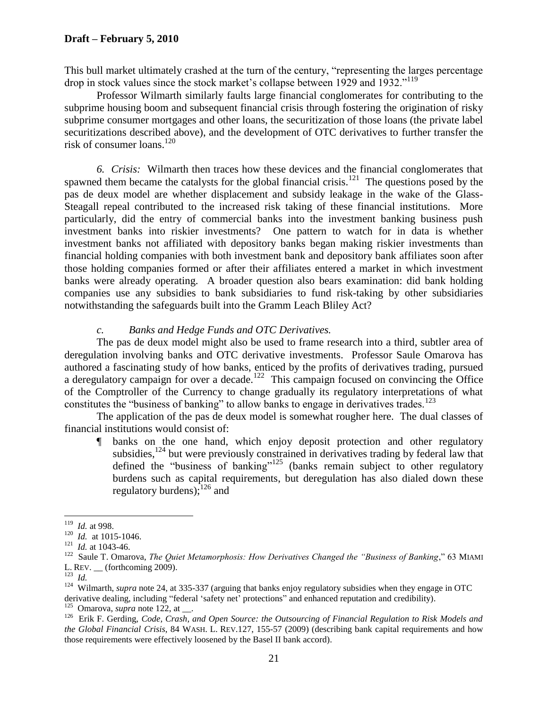This bull market ultimately crashed at the turn of the century, "representing the larges percentage drop in stock values since the stock market's collapse between 1929 and 1932."<sup>119</sup>

Professor Wilmarth similarly faults large financial conglomerates for contributing to the subprime housing boom and subsequent financial crisis through fostering the origination of risky subprime consumer mortgages and other loans, the securitization of those loans (the private label securitizations described above), and the development of OTC derivatives to further transfer the risk of consumer loans.<sup>120</sup>

*6. Crisis:* Wilmarth then traces how these devices and the financial conglomerates that spawned them became the catalysts for the global financial crisis.<sup>121</sup> The questions posed by the pas de deux model are whether displacement and subsidy leakage in the wake of the Glass-Steagall repeal contributed to the increased risk taking of these financial institutions. More particularly, did the entry of commercial banks into the investment banking business push investment banks into riskier investments? One pattern to watch for in data is whether investment banks not affiliated with depository banks began making riskier investments than financial holding companies with both investment bank and depository bank affiliates soon after those holding companies formed or after their affiliates entered a market in which investment banks were already operating. A broader question also bears examination: did bank holding companies use any subsidies to bank subsidiaries to fund risk-taking by other subsidiaries notwithstanding the safeguards built into the Gramm Leach Bliley Act?

#### *c. Banks and Hedge Funds and OTC Derivatives.*

The pas de deux model might also be used to frame research into a third, subtler area of deregulation involving banks and OTC derivative investments. Professor Saule Omarova has authored a fascinating study of how banks, enticed by the profits of derivatives trading, pursued a deregulatory campaign for over a decade.<sup>122</sup> This campaign focused on convincing the Office of the Comptroller of the Currency to change gradually its regulatory interpretations of what constitutes the "business of banking" to allow banks to engage in derivatives trades.<sup>123</sup>

The application of the pas de deux model is somewhat rougher here. The dual classes of financial institutions would consist of:

¶ banks on the one hand, which enjoy deposit protection and other regulatory subsidies,<sup>124</sup> but were previously constrained in derivatives trading by federal law that defined the "business of banking"<sup>125</sup> (banks remain subject to other regulatory burdens such as capital requirements, but deregulation has also dialed down these regulatory burdens);<sup>126</sup> and

 119 *Id.* at 998.

 $120$  *Id.* at 1015-1046.

 $121$  *Id.* at 1043-46.

<sup>&</sup>lt;sup>122</sup> Saule T. Omarova, *The Quiet Metamorphosis: How Derivatives Changed the "Business of Banking*," 63 MIAMI L. REV. (forthcoming 2009).

<sup>123</sup> *Id.*

<sup>&</sup>lt;sup>124</sup> Wilmarth, *supra* note [24,](#page-7-0) at 335-337 (arguing that banks enjoy regulatory subsidies when they engage in OTC derivative dealing, including "federal "safety net" protections" and enhanced reputation and credibility).

 $125$  Omarova, *supra* note [122,](#page-20-0) at \_\_\_.

<sup>&</sup>lt;sup>126</sup> Erik F. Gerding, *Code, Crash, and Open Source: the Outsourcing of Financial Regulation to Risk Models and the Global Financial Crisis*, 84 WASH. L. REV.127, 155-57 (2009) (describing bank capital requirements and how those requirements were effectively loosened by the Basel II bank accord).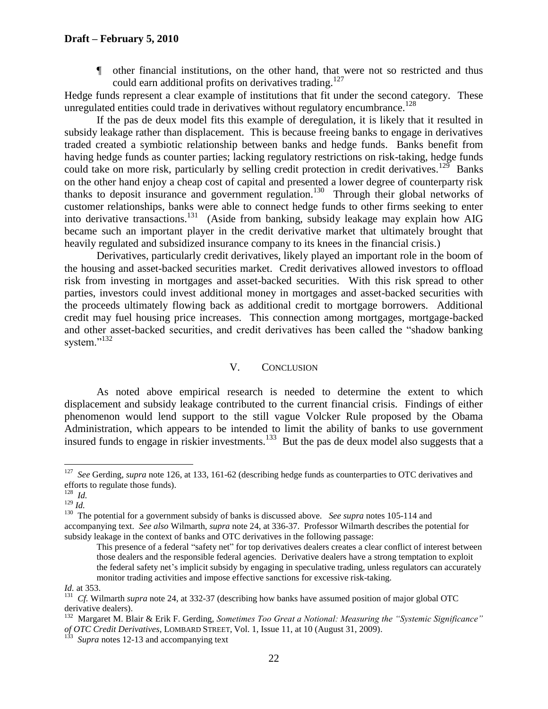#### **Draft – February 5, 2010**

¶ other financial institutions, on the other hand, that were not so restricted and thus could earn additional profits on derivatives trading.<sup>127</sup>

Hedge funds represent a clear example of institutions that fit under the second category. These unregulated entities could trade in derivatives without regulatory encumbrance.<sup>128</sup>

If the pas de deux model fits this example of deregulation, it is likely that it resulted in subsidy leakage rather than displacement. This is because freeing banks to engage in derivatives traded created a symbiotic relationship between banks and hedge funds. Banks benefit from having hedge funds as counter parties; lacking regulatory restrictions on risk-taking, hedge funds could take on more risk, particularly by selling credit protection in credit derivatives.<sup>129</sup> Banks on the other hand enjoy a cheap cost of capital and presented a lower degree of counterparty risk thanks to deposit insurance and government regulation.<sup>130</sup> Through their global networks of customer relationships, banks were able to connect hedge funds to other firms seeking to enter into derivative transactions.<sup>131</sup> (Aside from banking, subsidy leakage may explain how AIG became such an important player in the credit derivative market that ultimately brought that heavily regulated and subsidized insurance company to its knees in the financial crisis.)

Derivatives, particularly credit derivatives, likely played an important role in the boom of the housing and asset-backed securities market. Credit derivatives allowed investors to offload risk from investing in mortgages and asset-backed securities. With this risk spread to other parties, investors could invest additional money in mortgages and asset-backed securities with the proceeds ultimately flowing back as additional credit to mortgage borrowers. Additional credit may fuel housing price increases. This connection among mortgages, mortgage-backed and other asset-backed securities, and credit derivatives has been called the "shadow banking system."<sup>132</sup>

#### V. CONCLUSION

As noted above empirical research is needed to determine the extent to which displacement and subsidy leakage contributed to the current financial crisis. Findings of either phenomenon would lend support to the still vague Volcker Rule proposed by the Obama Administration, which appears to be intended to limit the ability of banks to use government insured funds to engage in riskier investments.<sup>133</sup> But the pas de deux model also suggests that a

 127 *See* Gerding, *supra* note [126,](#page-20-1) at 133, 161-62 (describing hedge funds as counterparties to OTC derivatives and efforts to regulate those funds). 128 *Id.*

<sup>129</sup> *Id.*

<sup>&</sup>lt;sup>130</sup> The potential for a government subsidy of banks is discussed above. *See supra* note[s 105-](#page-18-0)[114](#page-19-0) and accompanying text. *See also* Wilmarth, *supra* note [24,](#page-7-0) at 336-37. Professor Wilmarth describes the potential for subsidy leakage in the context of banks and OTC derivatives in the following passage:

This presence of a federal "safety net" for top derivatives dealers creates a clear conflict of interest between those dealers and the responsible federal agencies. Derivative dealers have a strong temptation to exploit the federal safety net"s implicit subsidy by engaging in speculative trading, unless regulators can accurately monitor trading activities and impose effective sanctions for excessive risk-taking.

*Id.* at 353.

<sup>&</sup>lt;sup>131</sup> *Cf.* Wilmarth *supra* note [24,](#page-7-0) at 332-37 (describing how banks have assumed position of major global OTC derivative dealers).

<sup>&</sup>lt;sup>132</sup> Margaret M. Blair & Erik F. Gerding, Sometimes Too Great a Notional: Measuring the "Systemic Significance" *of OTC Credit Derivatives*, LOMBARD STREET, Vol. 1, Issue 11, at 10 (August 31, 2009).

 $^{133}$  *Supra* note[s 12](#page-4-0)[-13](#page-4-1) and accompanying text